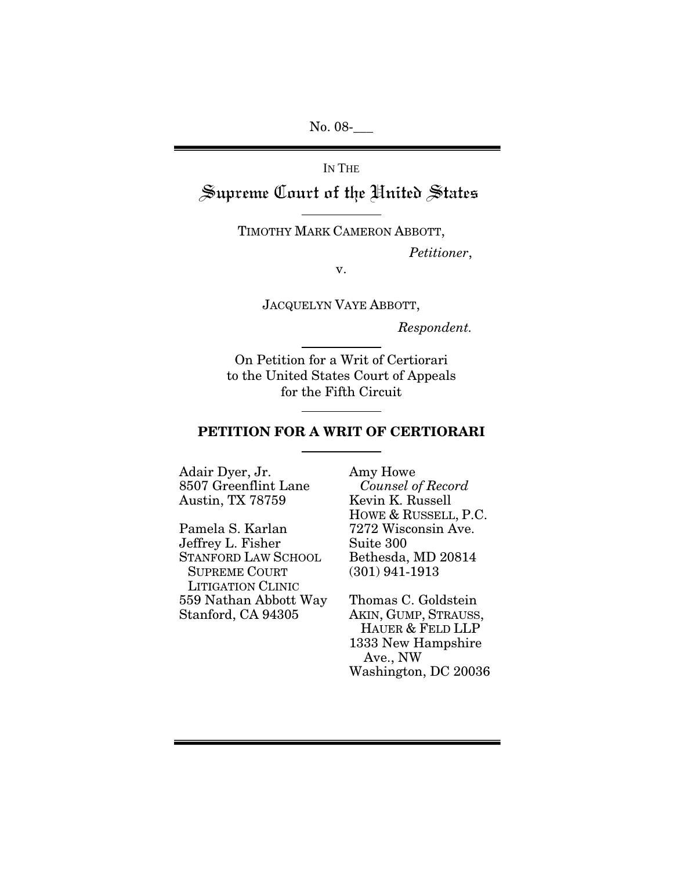No. 08-\_\_\_

IN THE Supreme Court of the United States

TIMOTHY MARK CAMERON ABBOTT,

 *Petitioner*,

v.

JACQUELYN VAYE ABBOTT,

*Respondent.* 

On Petition for a Writ of Certiorari to the United States Court of Appeals for the Fifth Circuit

#### PETITION FOR A WRIT OF CERTIORARI

Adair Dyer, Jr. 8507 Greenflint Lane Austin, TX 78759

Pamela S. Karlan Jeffrey L. Fisher STANFORD LAW SCHOOL SUPREME COURT LITIGATION CLINIC 559 Nathan Abbott Way Stanford, CA 94305

Amy Howe *Counsel of Record* Kevin K. Russell HOWE & RUSSELL, P.C. 7272 Wisconsin Ave. Suite 300 Bethesda, MD 20814 (301) 941-1913

Thomas C. Goldstein AKIN, GUMP, STRAUSS, HAUER & FELD LLP 1333 New Hampshire Ave., NW Washington, DC 20036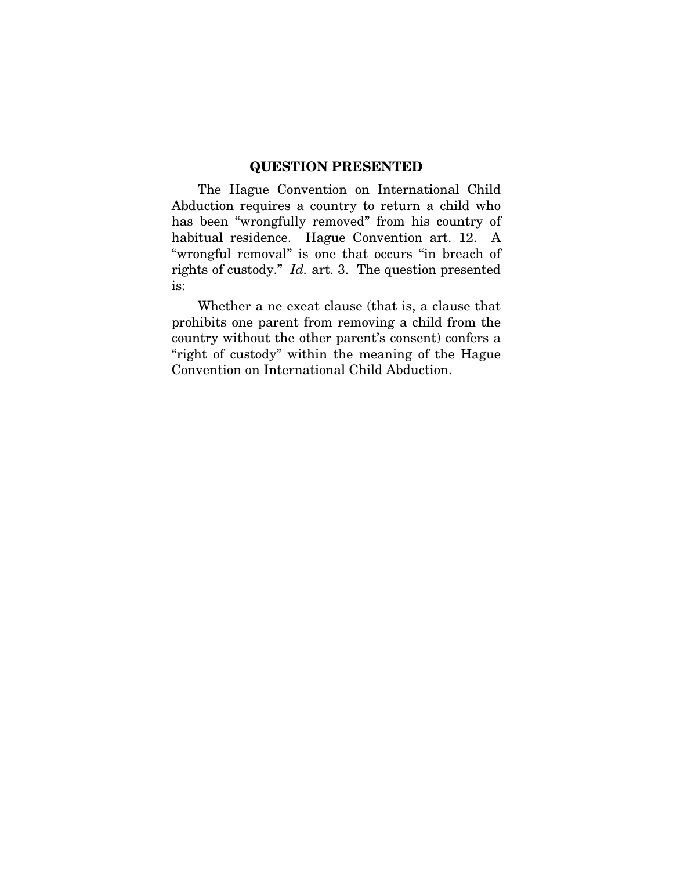#### QUESTION PRESENTED

<span id="page-1-0"></span>The Hague Convention on International Child Abduction requires a country to return a child who has been "wrongfully removed" from his country of habitual residence. Hague Convention art. 12. A "wrongful removal" is one that occurs "in breach of rights of custody." *Id.* art. 3. The question presented is:

Whether a ne exeat clause (that is, a clause that prohibits one parent from removing a child from the country without the other parent's consent) confers a "right of custody" within the meaning of the Hague Convention on International Child Abduction.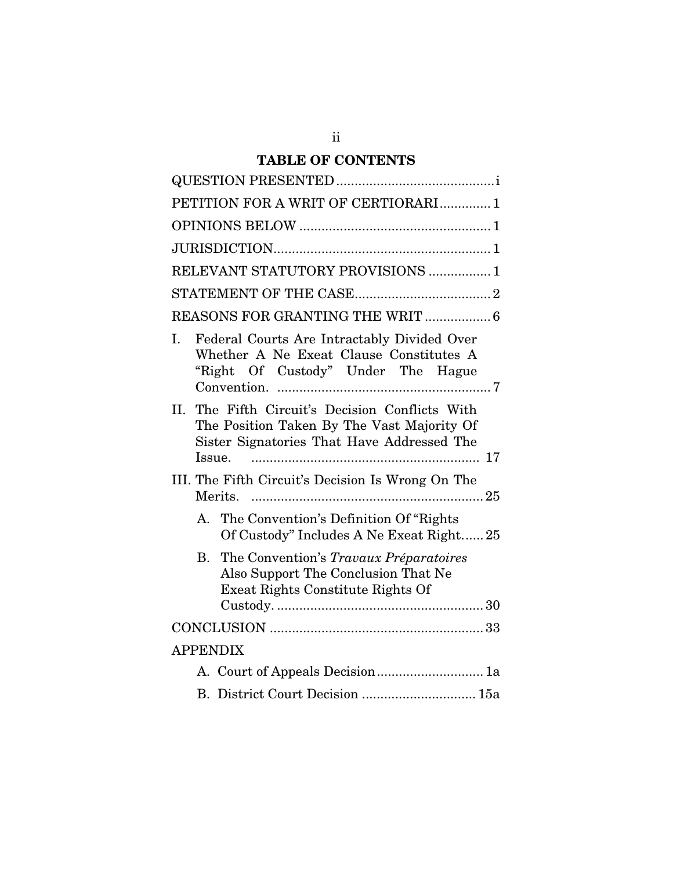## TABLE OF CONTENTS

| PETITION FOR A WRIT OF CERTIORARI1                                                                                                                       |  |  |
|----------------------------------------------------------------------------------------------------------------------------------------------------------|--|--|
|                                                                                                                                                          |  |  |
|                                                                                                                                                          |  |  |
| RELEVANT STATUTORY PROVISIONS  1                                                                                                                         |  |  |
|                                                                                                                                                          |  |  |
| REASONS FOR GRANTING THE WRIT  6                                                                                                                         |  |  |
| Federal Courts Are Intractably Divided Over<br>I.<br>Whether A Ne Exeat Clause Constitutes A<br>"Right Of Custody" Under The Hague                       |  |  |
| The Fifth Circuit's Decision Conflicts With<br>II.<br>The Position Taken By The Vast Majority Of<br>Sister Signatories That Have Addressed The<br>Issue. |  |  |
| III. The Fifth Circuit's Decision Is Wrong On The                                                                                                        |  |  |
| The Convention's Definition Of "Rights"<br>$A_{\cdot}$<br>Of Custody" Includes A Ne Exeat Right 25                                                       |  |  |
| The Convention's Travaux Préparatoires<br><b>B.</b><br>Also Support The Conclusion That Ne<br>Exeat Rights Constitute Rights Of                          |  |  |
|                                                                                                                                                          |  |  |
| <b>APPENDIX</b>                                                                                                                                          |  |  |
| A. Court of Appeals Decision 1a                                                                                                                          |  |  |
| B. District Court Decision  15a                                                                                                                          |  |  |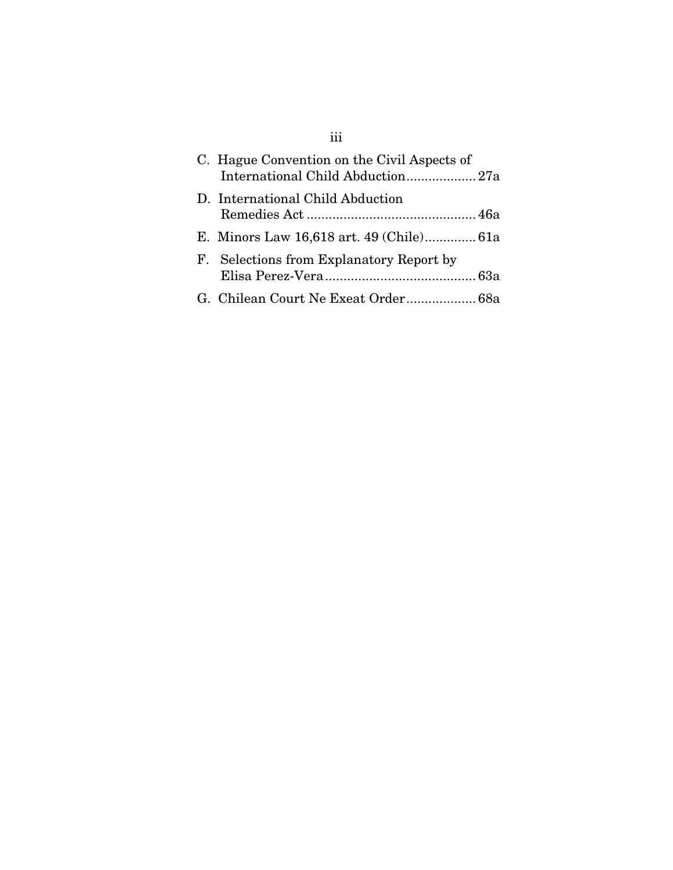| C. Hague Convention on the Civil Aspects of |  |
|---------------------------------------------|--|
| D. International Child Abduction            |  |
| E. Minors Law 16,618 art. 49 (Chile) 61a    |  |
| F. Selections from Explanatory Report by    |  |
|                                             |  |

# iii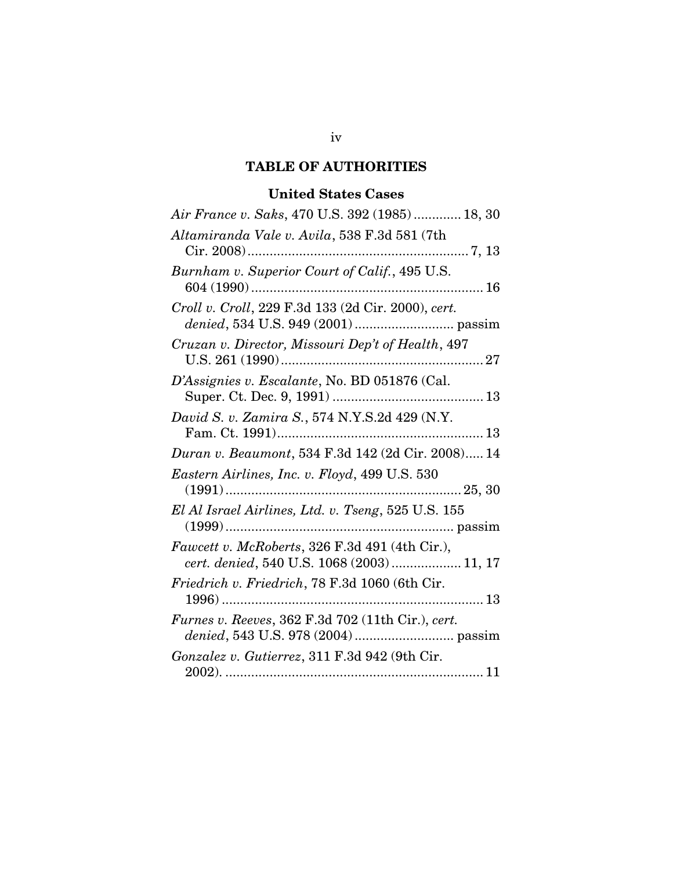### TABLE OF AUTHORITIES

## United States Cases

| Air France v. Saks, 470 U.S. 392 (1985)  18, 30                                              |
|----------------------------------------------------------------------------------------------|
| Altamiranda Vale v. Avila, 538 F.3d 581 (7th                                                 |
| Burnham v. Superior Court of Calif., 495 U.S.                                                |
| Croll v. Croll, 229 F.3d 133 (2d Cir. 2000), cert.                                           |
| Cruzan v. Director, Missouri Dep't of Health, 497                                            |
| D'Assignies v. Escalante, No. BD 051876 (Cal.                                                |
| David S. v. Zamira S., 574 N.Y.S.2d 429 (N.Y.                                                |
| Duran v. Beaumont, 534 F.3d 142 (2d Cir. 2008) 14                                            |
| Eastern Airlines, Inc. v. Floyd, 499 U.S. 530                                                |
| El Al Israel Airlines, Ltd. v. Tseng, 525 U.S. 155                                           |
| Fawcett v. McRoberts, 326 F.3d 491 (4th Cir.),<br>cert. denied, 540 U.S. 1068 (2003)  11, 17 |
| Friedrich v. Friedrich, 78 F.3d 1060 (6th Cir.                                               |
| Furnes v. Reeves, 362 F.3d 702 (11th Cir.), cert.                                            |
| Gonzalez v. Gutierrez, 311 F.3d 942 (9th Cir.                                                |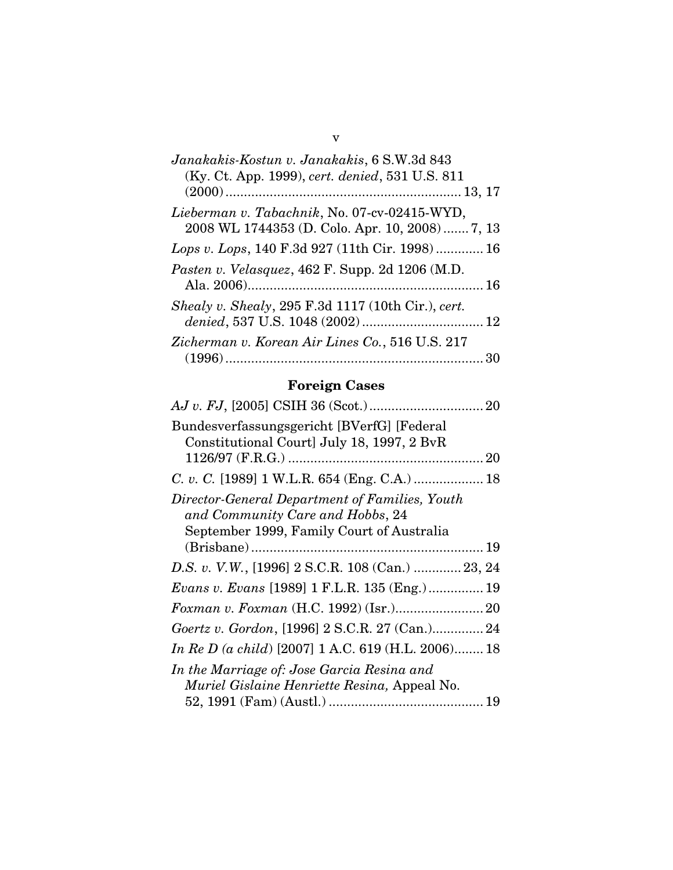# Foreign Cases

| Bundesverfassungsgericht [BVerfG] [Federal           |
|------------------------------------------------------|
| Constitutional Court] July 18, 1997, 2 BvR           |
|                                                      |
|                                                      |
| Director-General Department of Families, Youth       |
| and Community Care and Hobbs, 24                     |
| September 1999, Family Court of Australia            |
|                                                      |
| D.S. v. V.W., [1996] 2 S.C.R. 108 (Can.)  23, 24     |
| <i>Evans v. Evans</i> [1989] 1 F.L.R. 135 (Eng.)  19 |
|                                                      |
| Goertz v. Gordon, [1996] 2 S.C.R. 27 (Can.) 24       |
| In Re D (a child) [2007] 1 A.C. 619 (H.L. 2006) 18   |
| In the Marriage of: Jose Garcia Resina and           |
| Muriel Gislaine Henriette Resina, Appeal No.         |
|                                                      |
|                                                      |

v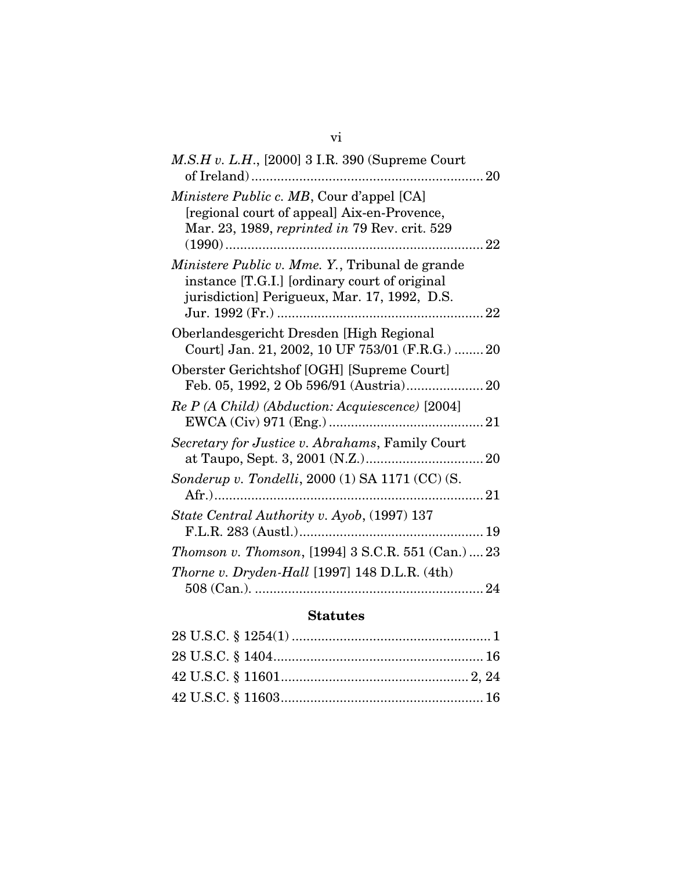| $M.S.H v. L.H., [2000] 3 I.R. 390$ (Supreme Court                                                                                                |
|--------------------------------------------------------------------------------------------------------------------------------------------------|
| <i>Ministere Public c. MB, Cour d'appel</i> [CA]<br>[regional court of appeal] Aix-en-Provence,<br>Mar. 23, 1989, reprinted in 79 Rev. crit. 529 |
| Ministere Public v. Mme. Y., Tribunal de grande<br>instance [T.G.I.] [ordinary court of original<br>jurisdiction] Perigueux, Mar. 17, 1992, D.S. |
| Oberlandesgericht Dresden [High Regional<br>Court] Jan. 21, 2002, 10 UF 753/01 (F.R.G.)  20                                                      |
| Oberster Gerichtshof [OGH] [Supreme Court]                                                                                                       |
| Re P (A Child) (Abduction: Acquiescence) [2004]                                                                                                  |
| Secretary for Justice v. Abrahams, Family Court                                                                                                  |
| Sonderup v. Tondelli, 2000 (1) SA 1171 (CC) (S.                                                                                                  |
| State Central Authority v. Ayob, (1997) 137                                                                                                      |
| <i>Thomson v. Thomson,</i> [1994] 3 S.C.R. 551 (Can.)  23                                                                                        |
| <i>Thorne v. Dryden-Hall</i> [1997] 148 D.L.R. (4th)                                                                                             |
|                                                                                                                                                  |

### Statutes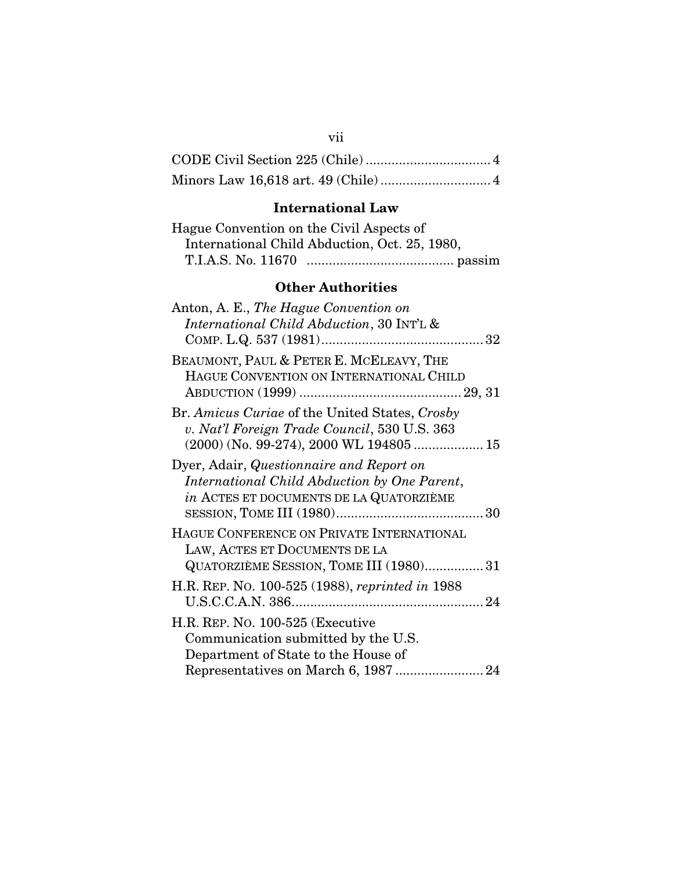## CODE Civil Section 225 (Chile) .................................. 4 Minors Law 16,618 art. 49 (Chile) .............................. 4

## International Law

| Hague Convention on the Civil Aspects of |                                               |
|------------------------------------------|-----------------------------------------------|
|                                          | International Child Abduction, Oct. 25, 1980, |
|                                          |                                               |

## Other Authorities

| Anton, A. E., The Hague Convention on<br>International Child Abduction, 30 INT'L &                                                  |
|-------------------------------------------------------------------------------------------------------------------------------------|
| BEAUMONT, PAUL & PETER E. MCELEAVY, THE<br>HAGUE CONVENTION ON INTERNATIONAL CHILD                                                  |
| Br. Amicus Curiae of the United States, Crosby<br>v. Nat'l Foreign Trade Council, 530 U.S. 363                                      |
| Dyer, Adair, Questionnaire and Report on<br>International Child Abduction by One Parent,<br>in ACTES ET DOCUMENTS DE LA QUATORZIÈME |
| HAGUE CONFERENCE ON PRIVATE INTERNATIONAL<br>LAW, ACTES ET DOCUMENTS DE LA<br>QUATORZIÈME SESSION, TOME III (1980) 31               |
| H.R. REP. No. 100-525 (1988), reprinted in 1988                                                                                     |
| H.R. REP. No. 100-525 (Executive<br>Communication submitted by the U.S.<br>Department of State to the House of                      |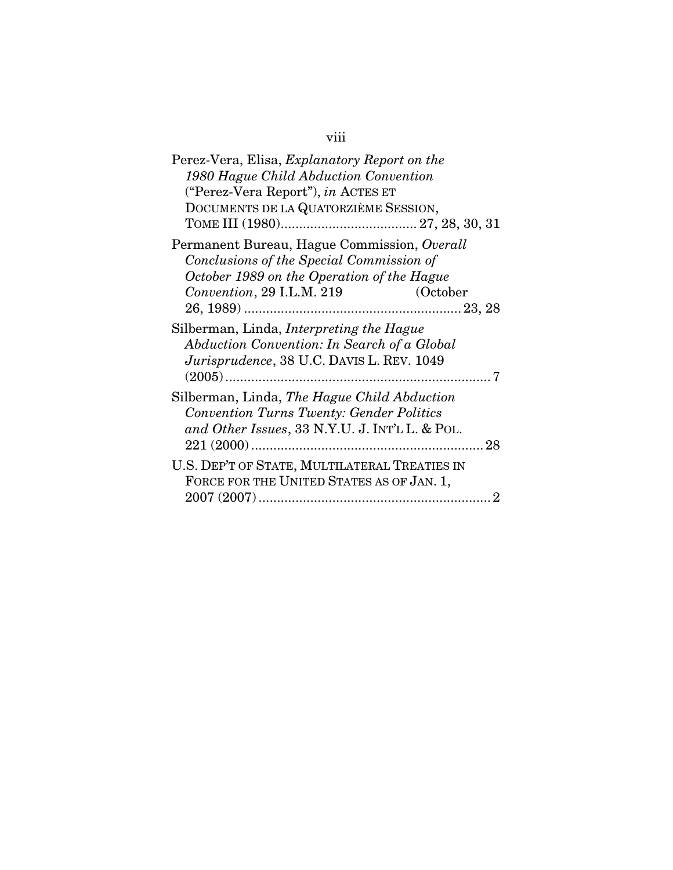# viii

| Perez-Vera, Elisa, Explanatory Report on the<br>1980 Hague Child Abduction Convention<br>("Perez-Vera Report"), in ACTES ET<br>DOCUMENTS DE LA QUATORZIÈME SESSION,            |
|--------------------------------------------------------------------------------------------------------------------------------------------------------------------------------|
| Permanent Bureau, Hague Commission, Overall<br>Conclusions of the Special Commission of<br>October 1989 on the Operation of the Hague<br>Convention, 29 I.L.M. 219<br>(October |
| Silberman, Linda, Interpreting the Hague<br>Abduction Convention: In Search of a Global<br>Jurisprudence, 38 U.C. DAVIS L. REV. 1049                                           |
| Silberman, Linda, The Hague Child Abduction<br><b>Convention Turns Twenty: Gender Politics</b><br>and Other Issues, 33 N.Y.U. J. INT'L L. & POL.                               |
| U.S. DEP'T OF STATE, MULTILATERAL TREATIES IN<br>FORCE FOR THE UNITED STATES AS OF JAN. 1,                                                                                     |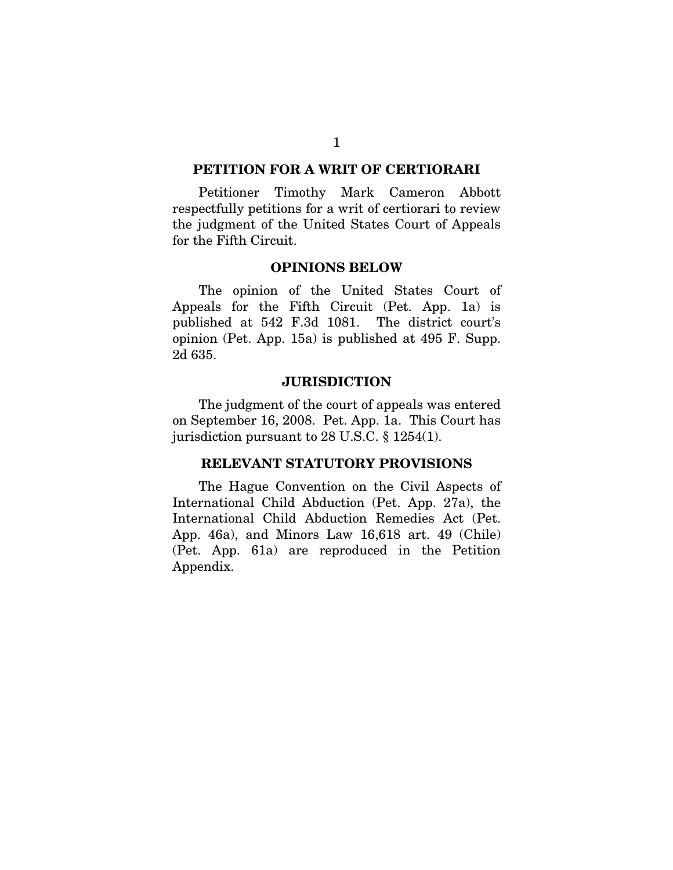#### <span id="page-9-0"></span>PETITION FOR A WRIT OF CERTIORARI

Petitioner Timothy Mark Cameron Abbott respectfully petitions for a writ of certiorari to review the judgment of the United States Court of Appeals for the Fifth Circuit.

#### OPINIONS BELOW

The opinion of the United States Court of Appeals for the Fifth Circuit (Pet. App. 1a) is published at 542 F.3d 1081. The district court's opinion (Pet. App. 15a) is published at 495 F. Supp. 2d 635.

#### **JURISDICTION**

The judgment of the court of appeals was entered on September 16, 2008. Pet. App. 1a. This Court has jurisdiction pursuant to 28 U.S.C. § 1254(1).

#### RELEVANT STATUTORY PROVISIONS

The Hague Convention on the Civil Aspects of International Child Abduction (Pet. App. 27a), the International Child Abduction Remedies Act (Pet. App. 46a), and Minors Law 16,618 art. 49 (Chile) (Pet. App. 61a) are reproduced in the Petition Appendix.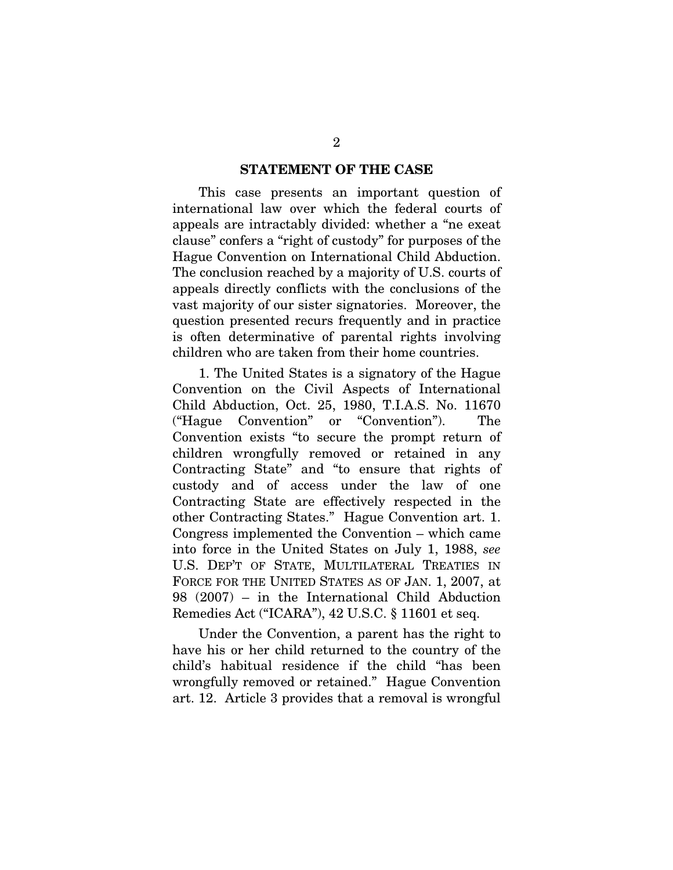#### STATEMENT OF THE CASE

<span id="page-10-0"></span>This case presents an important question of international law over which the federal courts of appeals are intractably divided: whether a "ne exeat clause" confers a "right of custody" for purposes of the Hague Convention on International Child Abduction. The conclusion reached by a majority of U.S. courts of appeals directly conflicts with the conclusions of the vast majority of our sister signatories. Moreover, the question presented recurs frequently and in practice is often determinative of parental rights involving children who are taken from their home countries.

1. The United States is a signatory of the Hague Convention on the Civil Aspects of International Child Abduction, Oct. 25, 1980, T.I.A.S. No. 11670 ("Hague Convention" or "Convention"). The Convention exists "to secure the prompt return of children wrongfully removed or retained in any Contracting State" and "to ensure that rights of custody and of access under the law of one Contracting State are effectively respected in the other Contracting States." Hague Convention art. 1. Congress implemented the Convention – which came into force in the United States on July 1, 1988, *see* U.S. DEP'T OF STATE, MULTILATERAL TREATIES IN FORCE FOR THE UNITED STATES AS OF JAN. 1, 2007, at 98 (2007) – in the International Child Abduction Remedies Act ("ICARA"), 42 U.S.C. § 11601 et seq.

Under the Convention, a parent has the right to have his or her child returned to the country of the child's habitual residence if the child "has been wrongfully removed or retained." Hague Convention art. 12. Article 3 provides that a removal is wrongful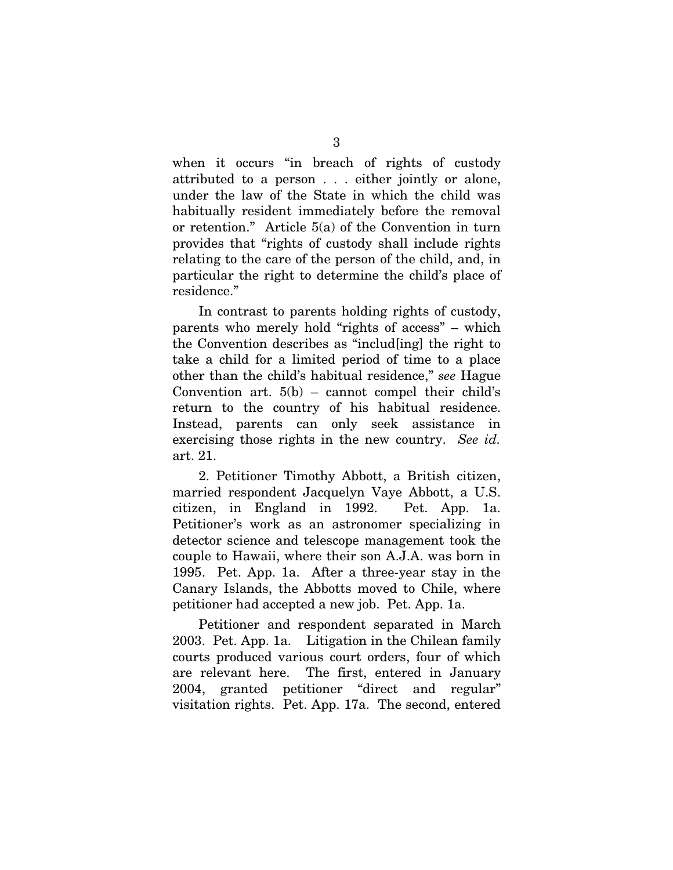when it occurs "in breach of rights of custody attributed to a person . . . either jointly or alone, under the law of the State in which the child was habitually resident immediately before the removal or retention." Article 5(a) of the Convention in turn provides that "rights of custody shall include rights relating to the care of the person of the child, and, in particular the right to determine the child's place of residence."

In contrast to parents holding rights of custody, parents who merely hold "rights of access" – which the Convention describes as "includ[ing] the right to take a child for a limited period of time to a place other than the child's habitual residence," *see* Hague Convention art.  $5(b)$  – cannot compel their child's return to the country of his habitual residence. Instead, parents can only seek assistance in exercising those rights in the new country. *See id.*  art. 21.

2. Petitioner Timothy Abbott, a British citizen, married respondent Jacquelyn Vaye Abbott, a U.S. citizen, in England in 1992. Pet. App. 1a. Petitioner's work as an astronomer specializing in detector science and telescope management took the couple to Hawaii, where their son A.J.A. was born in 1995. Pet. App. 1a. After a three-year stay in the Canary Islands, the Abbotts moved to Chile, where petitioner had accepted a new job. Pet. App. 1a.

Petitioner and respondent separated in March 2003. Pet. App. 1a. Litigation in the Chilean family courts produced various court orders, four of which are relevant here. The first, entered in January 2004, granted petitioner "direct and regular" visitation rights. Pet. App. 17a. The second, entered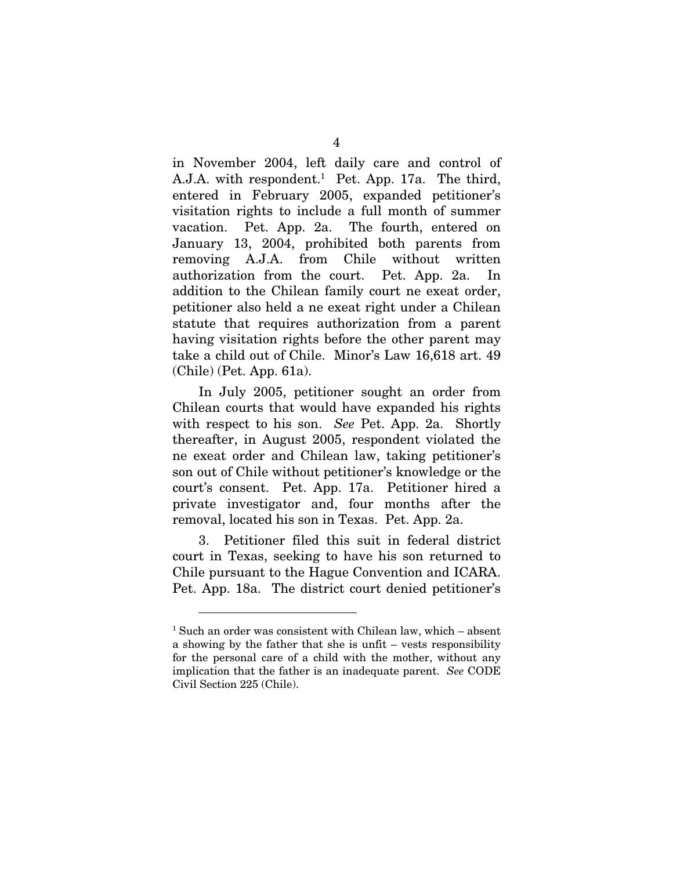in November 2004, left daily care and control of A.J.A. with respondent.[1](#page-12-0) Pet. App. 17a. The third, entered in February 2005, expanded petitioner's visitation rights to include a full month of summer vacation. Pet. App. 2a. The fourth, entered on January 13, 2004, prohibited both parents from removing A.J.A. from Chile without written authorization from the court. Pet. App. 2a. In addition to the Chilean family court ne exeat order, petitioner also held a ne exeat right under a Chilean statute that requires authorization from a parent having visitation rights before the other parent may take a child out of Chile. Minor's Law 16,618 art. 49 (Chile) (Pet. App. 61a).

In July 2005, petitioner sought an order from Chilean courts that would have expanded his rights with respect to his son. *See* Pet. App. 2a. Shortly thereafter, in August 2005, respondent violated the ne exeat order and Chilean law, taking petitioner's son out of Chile without petitioner's knowledge or the court's consent. Pet. App. 17a. Petitioner hired a private investigator and, four months after the removal, located his son in Texas. Pet. App. 2a.

3. Petitioner filed this suit in federal district court in Texas, seeking to have his son returned to Chile pursuant to the Hague Convention and ICARA. Pet. App. 18a. The district court denied petitioner's

<span id="page-12-0"></span><sup>1</sup> Such an order was consistent with Chilean law, which – absent a showing by the father that she is unfit – vests responsibility for the personal care of a child with the mother, without any implication that the father is an inadequate parent. *See* CODE Civil Section 225 (Chile).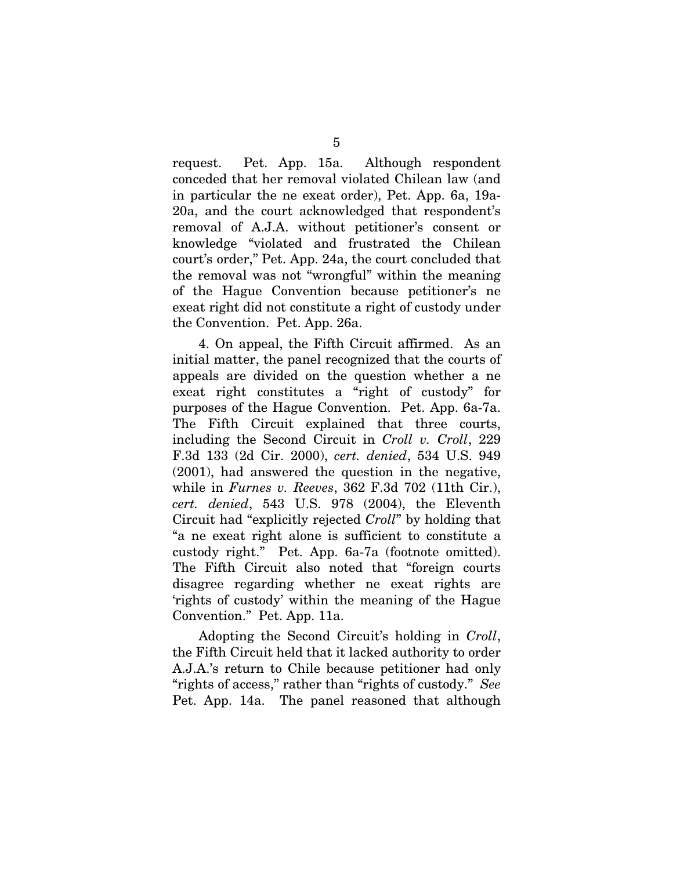request. Pet. App. 15a. Although respondent conceded that her removal violated Chilean law (and in particular the ne exeat order), Pet. App. 6a, 19a-20a, and the court acknowledged that respondent's removal of A.J.A. without petitioner's consent or knowledge "violated and frustrated the Chilean court's order," Pet. App. 24a, the court concluded that the removal was not "wrongful" within the meaning of the Hague Convention because petitioner's ne exeat right did not constitute a right of custody under the Convention. Pet. App. 26a.

4. On appeal, the Fifth Circuit affirmed. As an initial matter, the panel recognized that the courts of appeals are divided on the question whether a ne exeat right constitutes a "right of custody" for purposes of the Hague Convention. Pet. App. 6a-7a. The Fifth Circuit explained that three courts, including the Second Circuit in *Croll v. Croll*, 229 F.3d 133 (2d Cir. 2000), *cert. denied*, 534 U.S. 949 (2001), had answered the question in the negative, while in *Furnes v. Reeves*, 362 F.3d 702 (11th Cir.), *cert. denied*, 543 U.S. 978 (2004), the Eleventh Circuit had "explicitly rejected *Croll*" by holding that "a ne exeat right alone is sufficient to constitute a custody right." Pet. App. 6a-7a (footnote omitted). The Fifth Circuit also noted that "foreign courts disagree regarding whether ne exeat rights are 'rights of custody' within the meaning of the Hague Convention." Pet. App. 11a.

Adopting the Second Circuit's holding in *Croll*, the Fifth Circuit held that it lacked authority to order A.J.A.'s return to Chile because petitioner had only "rights of access," rather than "rights of custody." *See* Pet. App. 14a. The panel reasoned that although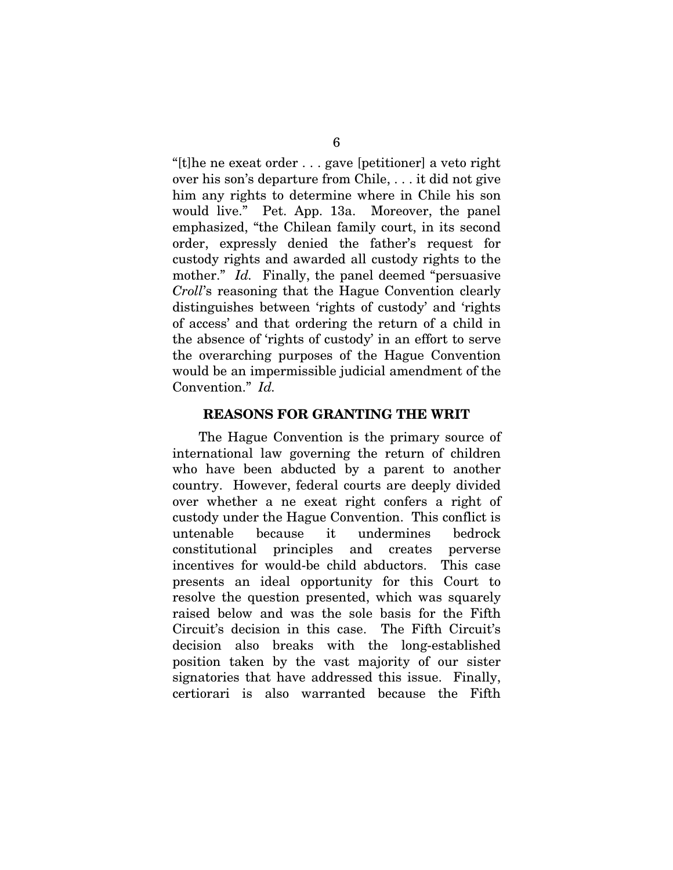<span id="page-14-0"></span>"[t]he ne exeat order . . . gave [petitioner] a veto right over his son's departure from Chile, . . . it did not give him any rights to determine where in Chile his son would live." Pet. App. 13a. Moreover, the panel emphasized, "the Chilean family court, in its second order, expressly denied the father's request for custody rights and awarded all custody rights to the mother." *Id.* Finally, the panel deemed "persuasive" *Croll*'s reasoning that the Hague Convention clearly distinguishes between 'rights of custody' and 'rights of access' and that ordering the return of a child in the absence of 'rights of custody' in an effort to serve the overarching purposes of the Hague Convention would be an impermissible judicial amendment of the Convention." *Id.*

#### REASONS FOR GRANTING THE WRIT

The Hague Convention is the primary source of international law governing the return of children who have been abducted by a parent to another country. However, federal courts are deeply divided over whether a ne exeat right confers a right of custody under the Hague Convention. This conflict is untenable because it undermines bedrock constitutional principles and creates perverse incentives for would-be child abductors. This case presents an ideal opportunity for this Court to resolve the question presented, which was squarely raised below and was the sole basis for the Fifth Circuit's decision in this case. The Fifth Circuit's decision also breaks with the long-established position taken by the vast majority of our sister signatories that have addressed this issue. Finally, certiorari is also warranted because the Fifth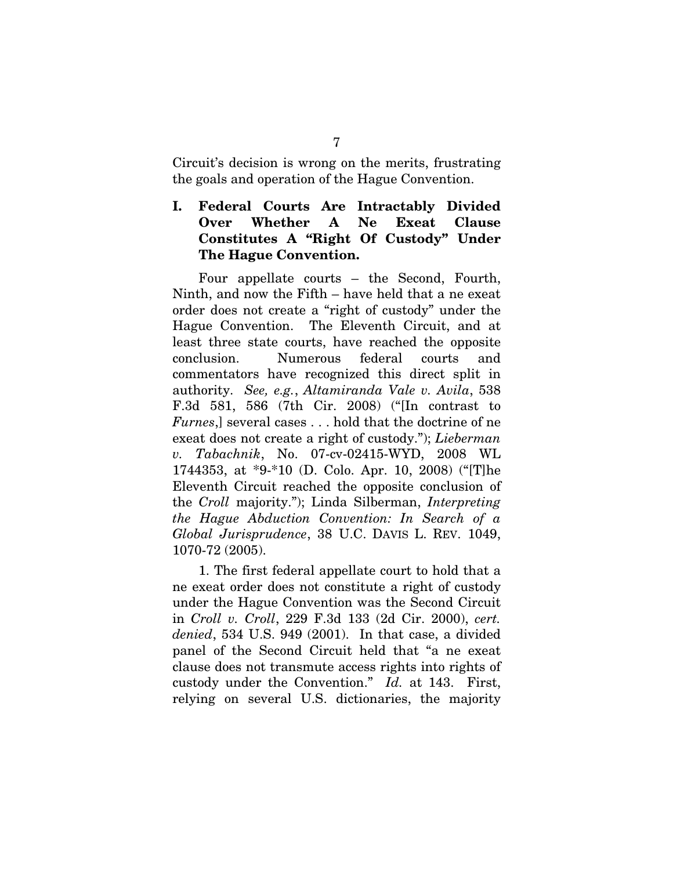<span id="page-15-0"></span>Circuit's decision is wrong on the merits, frustrating the goals and operation of the Hague Convention.

### I. Federal Courts Are Intractably Divided Over Whether A Ne Exeat Clause Constitutes A "Right Of Custody" Under The Hague Convention.

Four appellate courts – the Second, Fourth, Ninth, and now the Fifth – have held that a ne exeat order does not create a "right of custody" under the Hague Convention. The Eleventh Circuit, and at least three state courts, have reached the opposite conclusion. Numerous federal courts and commentators have recognized this direct split in authority. *See, e.g.*, *Altamiranda Vale v. Avila*, 538 F.3d 581, 586 (7th Cir. 2008) ("[In contrast to *Furnes*,] several cases . . . hold that the doctrine of ne exeat does not create a right of custody."); *Lieberman v. Tabachnik*, No. 07-cv-02415-WYD, 2008 WL 1744353, at \*9-\*10 (D. Colo. Apr. 10, 2008) ("[T]he Eleventh Circuit reached the opposite conclusion of the *Croll* majority."); Linda Silberman, *Interpreting the Hague Abduction Convention: In Search of a Global Jurisprudence*, 38 U.C. DAVIS L. REV. 1049, 1070-72 (2005).

1. The first federal appellate court to hold that a ne exeat order does not constitute a right of custody under the Hague Convention was the Second Circuit in *Croll v. Croll*, 229 F.3d 133 (2d Cir. 2000), *cert. denied*, 534 U.S. 949 (2001). In that case, a divided panel of the Second Circuit held that "a ne exeat clause does not transmute access rights into rights of custody under the Convention." *Id.* at 143. First, relying on several U.S. dictionaries, the majority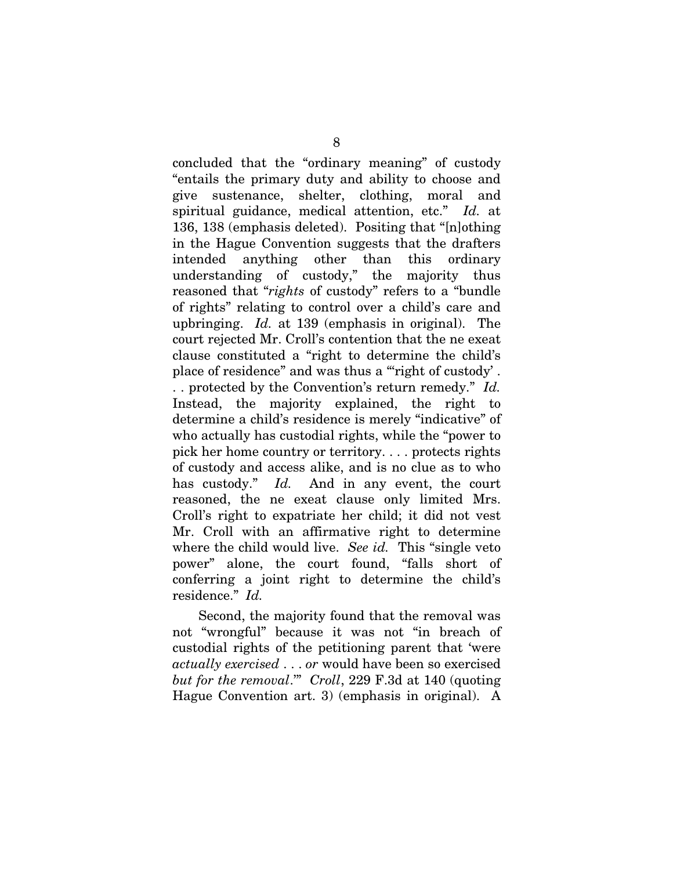concluded that the "ordinary meaning" of custody "entails the primary duty and ability to choose and give sustenance, shelter, clothing, moral and spiritual guidance, medical attention, etc." *Id.* at 136, 138 (emphasis deleted). Positing that "[n]othing in the Hague Convention suggests that the drafters intended anything other than this ordinary understanding of custody," the majority thus reasoned that "*rights* of custody" refers to a "bundle of rights" relating to control over a child's care and upbringing. *Id.* at 139 (emphasis in original). The court rejected Mr. Croll's contention that the ne exeat clause constituted a "right to determine the child's place of residence" and was thus a "right of custody'. . . protected by the Convention's return remedy." *Id.* Instead, the majority explained, the right to determine a child's residence is merely "indicative" of who actually has custodial rights, while the "power to pick her home country or territory. . . . protects rights of custody and access alike, and is no clue as to who has custody." *Id.* And in any event, the court reasoned, the ne exeat clause only limited Mrs. Croll's right to expatriate her child; it did not vest Mr. Croll with an affirmative right to determine where the child would live. *See id.* This "single veto power" alone, the court found, "falls short of conferring a joint right to determine the child's residence." *Id.*

Second, the majority found that the removal was not "wrongful" because it was not "in breach of custodial rights of the petitioning parent that 'were *actually exercised* . . . *or* would have been so exercised *but for the removal*.'" *Croll*, 229 F.3d at 140 (quoting Hague Convention art. 3) (emphasis in original). A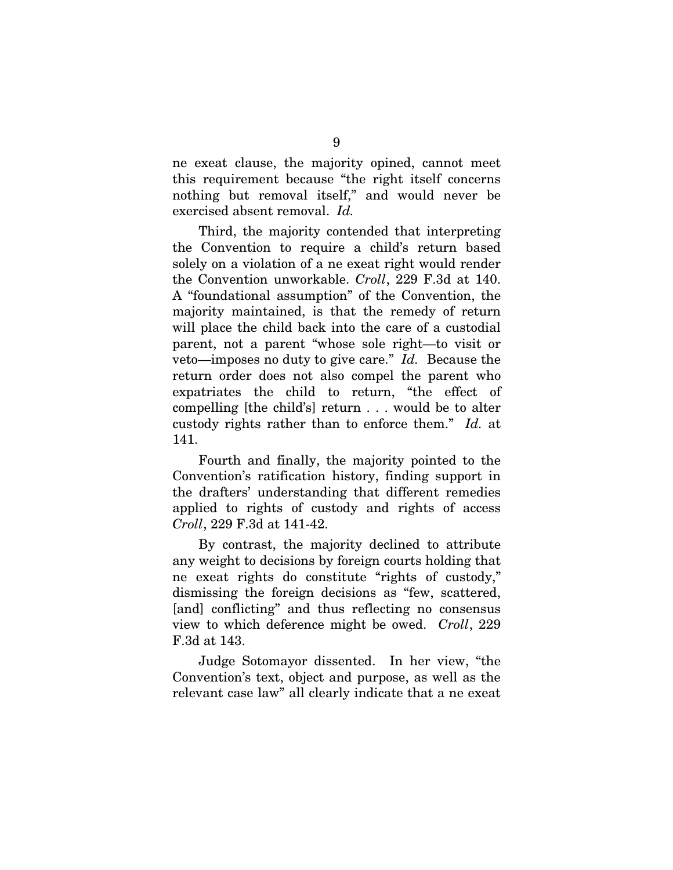ne exeat clause, the majority opined, cannot meet this requirement because "the right itself concerns nothing but removal itself," and would never be exercised absent removal. *Id.* 

Third, the majority contended that interpreting the Convention to require a child's return based solely on a violation of a ne exeat right would render the Convention unworkable. *Croll*, 229 F.3d at 140. A "foundational assumption" of the Convention, the majority maintained, is that the remedy of return will place the child back into the care of a custodial parent, not a parent "whose sole right—to visit or veto—imposes no duty to give care." *Id.* Because the return order does not also compel the parent who expatriates the child to return, "the effect of compelling [the child's] return . . . would be to alter custody rights rather than to enforce them." *Id.* at 141.

Fourth and finally, the majority pointed to the Convention's ratification history, finding support in the drafters' understanding that different remedies applied to rights of custody and rights of access *Croll*, 229 F.3d at 141-42.

By contrast, the majority declined to attribute any weight to decisions by foreign courts holding that ne exeat rights do constitute "rights of custody," dismissing the foreign decisions as "few, scattered, [and] conflicting" and thus reflecting no consensus view to which deference might be owed. *Croll*, 229 F.3d at 143.

Judge Sotomayor dissented. In her view, "the Convention's text, object and purpose, as well as the relevant case law" all clearly indicate that a ne exeat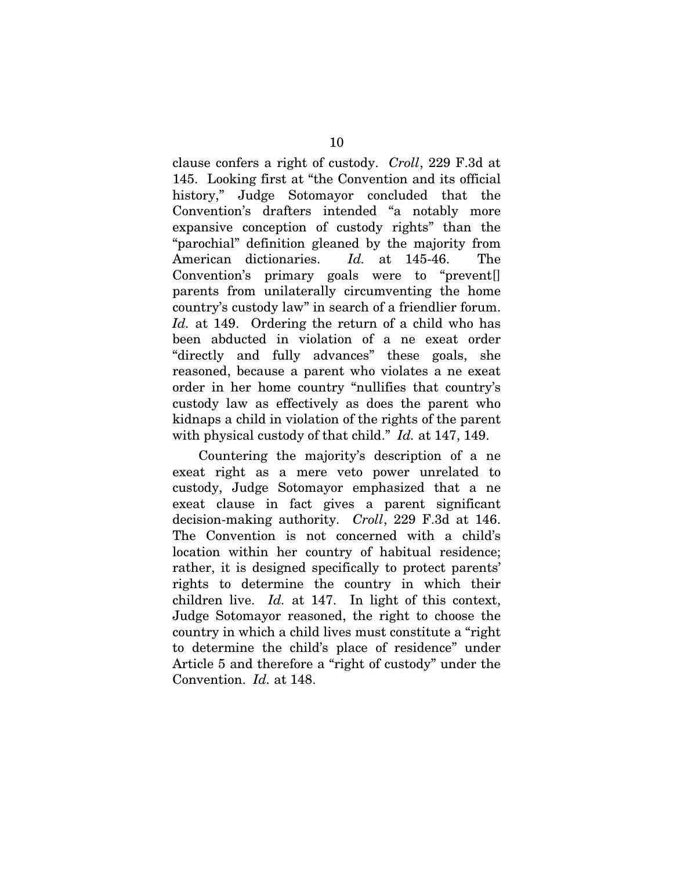clause confers a right of custody. *Croll*, 229 F.3d at 145. Looking first at "the Convention and its official history," Judge Sotomayor concluded that the Convention's drafters intended "a notably more expansive conception of custody rights" than the "parochial" definition gleaned by the majority from American dictionaries. *Id.* at 145-46. The Convention's primary goals were to "prevent[] parents from unilaterally circumventing the home country's custody law" in search of a friendlier forum. *Id.* at 149. Ordering the return of a child who has been abducted in violation of a ne exeat order "directly and fully advances" these goals, she reasoned, because a parent who violates a ne exeat order in her home country "nullifies that country's custody law as effectively as does the parent who kidnaps a child in violation of the rights of the parent with physical custody of that child." *Id.* at 147, 149.

Countering the majority's description of a ne exeat right as a mere veto power unrelated to custody, Judge Sotomayor emphasized that a ne exeat clause in fact gives a parent significant decision-making authority. *Croll*, 229 F.3d at 146. The Convention is not concerned with a child's location within her country of habitual residence; rather, it is designed specifically to protect parents' rights to determine the country in which their children live. *Id.* at 147. In light of this context, Judge Sotomayor reasoned, the right to choose the country in which a child lives must constitute a "right to determine the child's place of residence" under Article 5 and therefore a "right of custody" under the Convention. *Id.* at 148.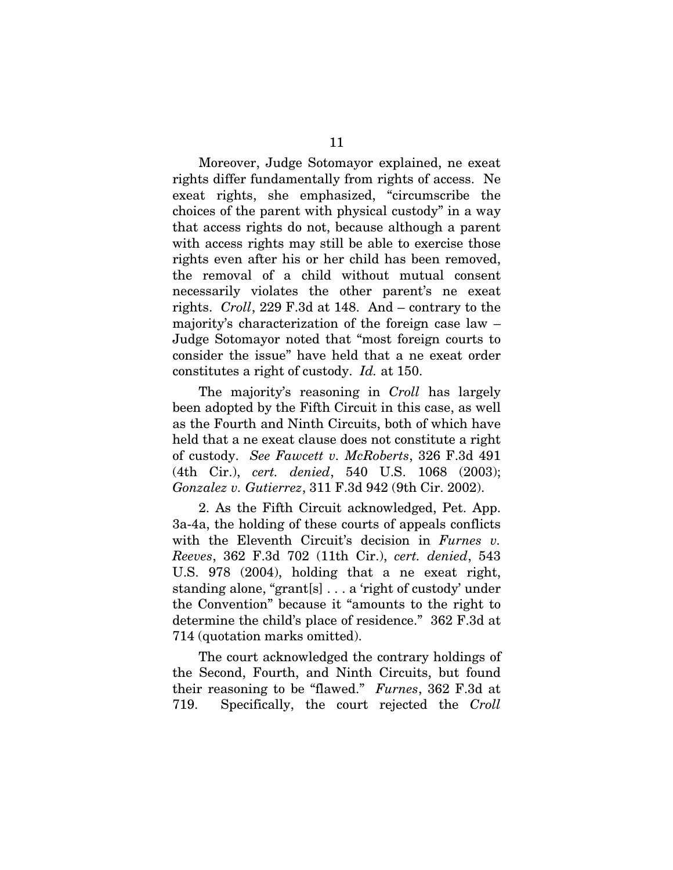Moreover, Judge Sotomayor explained, ne exeat rights differ fundamentally from rights of access. Ne exeat rights, she emphasized, "circumscribe the choices of the parent with physical custody" in a way that access rights do not, because although a parent with access rights may still be able to exercise those rights even after his or her child has been removed, the removal of a child without mutual consent necessarily violates the other parent's ne exeat rights. *Croll*, 229 F.3d at 148.And – contrary to the majority's characterization of the foreign case law – Judge Sotomayor noted that "most foreign courts to consider the issue" have held that a ne exeat order constitutes a right of custody. *Id.* at 150.

The majority's reasoning in *Croll* has largely been adopted by the Fifth Circuit in this case, as well as the Fourth and Ninth Circuits, both of which have held that a ne exeat clause does not constitute a right of custody. *See Fawcett v. McRoberts*, 326 F.3d 491 (4th Cir.), *cert. denied*, 540 U.S. 1068 (2003); *Gonzalez v. Gutierrez*, 311 F.3d 942 (9th Cir. 2002).

2. As the Fifth Circuit acknowledged, Pet. App. 3a-4a, the holding of these courts of appeals conflicts with the Eleventh Circuit's decision in *Furnes v. Reeves*, 362 F.3d 702 (11th Cir.), *cert. denied*, 543 U.S. 978 (2004), holding that a ne exeat right, standing alone, "grant[s] . . . a 'right of custody' under the Convention" because it "amounts to the right to determine the child's place of residence." 362 F.3d at 714 (quotation marks omitted).

The court acknowledged the contrary holdings of the Second, Fourth, and Ninth Circuits, but found their reasoning to be "flawed." *Furnes*, 362 F.3d at 719. Specifically, the court rejected the *Croll*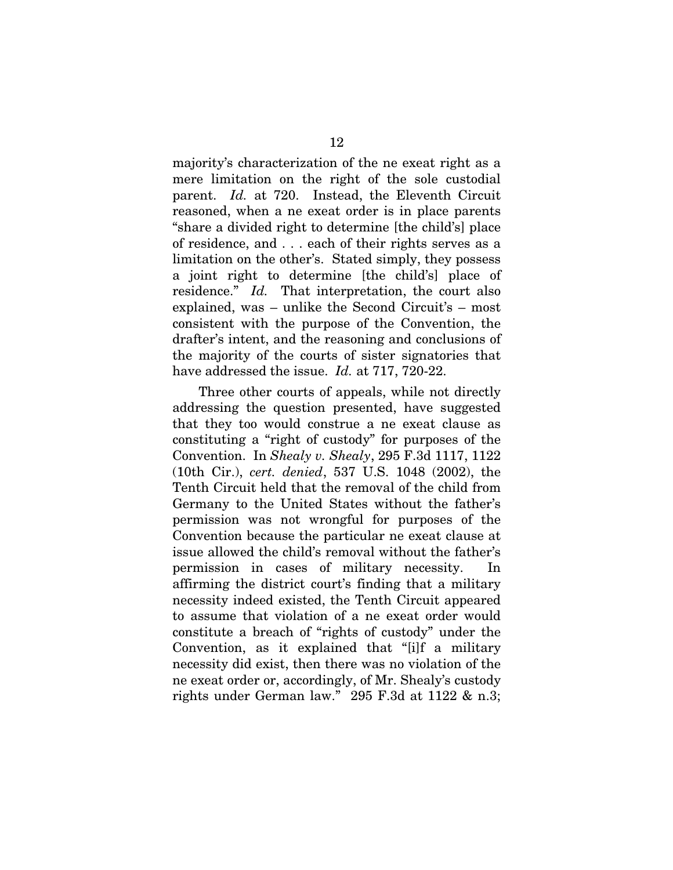majority's characterization of the ne exeat right as a mere limitation on the right of the sole custodial parent. *Id.* at 720. Instead, the Eleventh Circuit reasoned, when a ne exeat order is in place parents "share a divided right to determine [the child's] place of residence, and . . . each of their rights serves as a limitation on the other's. Stated simply, they possess a joint right to determine [the child's] place of residence." *Id.* That interpretation, the court also explained, was – unlike the Second Circuit's – most consistent with the purpose of the Convention, the drafter's intent, and the reasoning and conclusions of the majority of the courts of sister signatories that have addressed the issue. *Id.* at 717, 720-22.

Three other courts of appeals, while not directly addressing the question presented, have suggested that they too would construe a ne exeat clause as constituting a "right of custody" for purposes of the Convention. In *Shealy v. Shealy*, 295 F.3d 1117, 1122 (10th Cir.), *cert. denied*, 537 U.S. 1048 (2002), the Tenth Circuit held that the removal of the child from Germany to the United States without the father's permission was not wrongful for purposes of the Convention because the particular ne exeat clause at issue allowed the child's removal without the father's permission in cases of military necessity. affirming the district court's finding that a military necessity indeed existed, the Tenth Circuit appeared to assume that violation of a ne exeat order would constitute a breach of "rights of custody" under the Convention, as it explained that "[i]f a military necessity did exist, then there was no violation of the ne exeat order or, accordingly, of Mr. Shealy's custody rights under German law." 295 F.3d at 1122 & n.3;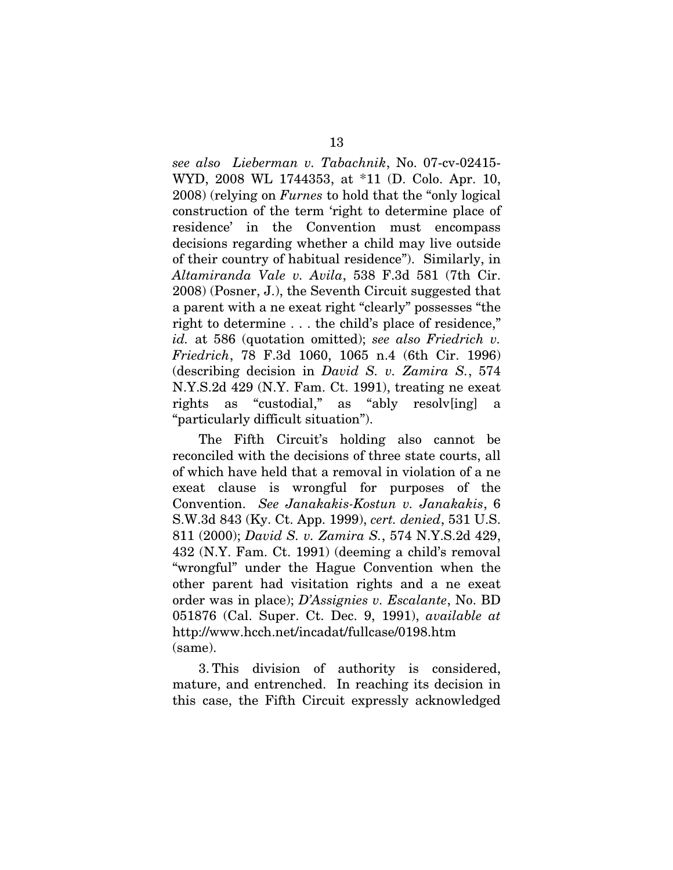*see also Lieberman v. Tabachnik*, No. 07-cv-02415- WYD, 2008 WL 1744353, at \*11 (D. Colo. Apr. 10, 2008) (relying on *Furnes* to hold that the "only logical construction of the term 'right to determine place of residence' in the Convention must encompass decisions regarding whether a child may live outside of their country of habitual residence"). Similarly, in *Altamiranda Vale v. Avila*, 538 F.3d 581 (7th Cir. 2008) (Posner, J.), the Seventh Circuit suggested that a parent with a ne exeat right "clearly" possesses "the right to determine . . . the child's place of residence," *id.* at 586 (quotation omitted); *see also Friedrich v. Friedrich*, 78 F.3d 1060, 1065 n.4 (6th Cir. 1996) (describing decision in *David S. v. Zamira S.*, 574 N.Y.S.2d 429 (N.Y. Fam. Ct. 1991), treating ne exeat rights as "custodial," as "ably resolv[ing] a "particularly difficult situation").

The Fifth Circuit's holding also cannot be reconciled with the decisions of three state courts, all of which have held that a removal in violation of a ne exeat clause is wrongful for purposes of the Convention. *See Janakakis-Kostun v. Janakakis*, 6 S.W.3d 843 (Ky. Ct. App. 1999), *cert. denied*, 531 U.S. 811 (2000); *David S. v. Zamira S.*, 574 N.Y.S.2d 429, 432 (N.Y. Fam. Ct. 1991) (deeming a child's removal "wrongful" under the Hague Convention when the other parent had visitation rights and a ne exeat order was in place); *D'Assignies v. Escalante*, No. BD 051876 (Cal. Super. Ct. Dec. 9, 1991), *available at*  http://www.hcch.net/incadat/fullcase/0198.htm (same).

3. This division of authority is considered, mature, and entrenched. In reaching its decision in this case, the Fifth Circuit expressly acknowledged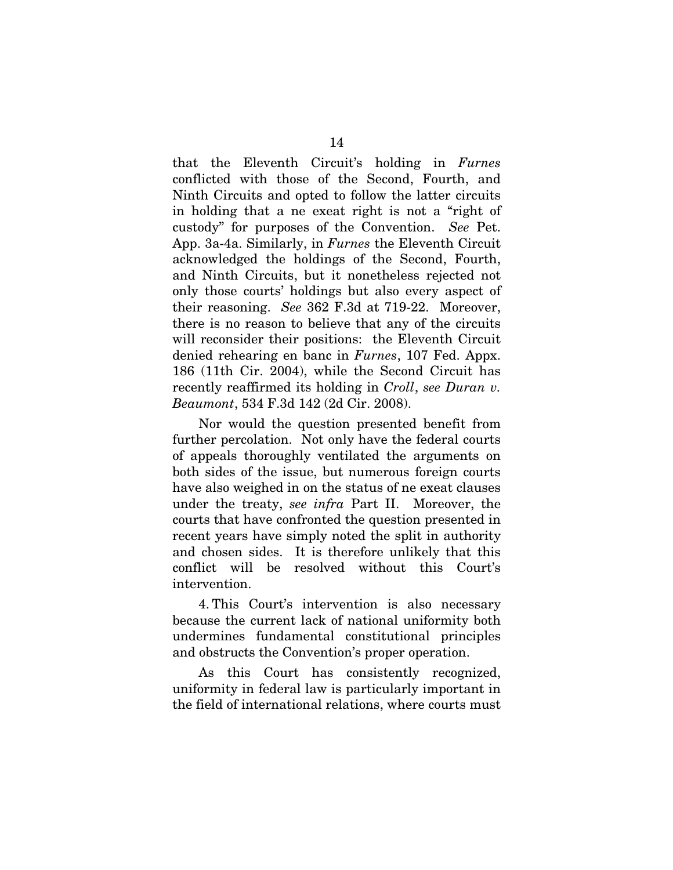that the Eleventh Circuit's holding in *Furnes* conflicted with those of the Second, Fourth, and Ninth Circuits and opted to follow the latter circuits in holding that a ne exeat right is not a "right of custody" for purposes of the Convention. *See* Pet. App. 3a-4a. Similarly, in *Furnes* the Eleventh Circuit acknowledged the holdings of the Second, Fourth, and Ninth Circuits, but it nonetheless rejected not only those courts' holdings but also every aspect of their reasoning. *See* 362 F.3d at 719-22. Moreover, there is no reason to believe that any of the circuits will reconsider their positions: the Eleventh Circuit denied rehearing en banc in *Furnes*, 107 Fed. Appx. 186 (11th Cir. 2004), while the Second Circuit has recently reaffirmed its holding in *Croll*, *see Duran v. Beaumont*, 534 F.3d 142 (2d Cir. 2008).

Nor would the question presented benefit from further percolation. Not only have the federal courts of appeals thoroughly ventilated the arguments on both sides of the issue, but numerous foreign courts have also weighed in on the status of ne exeat clauses under the treaty, *see infra* Part II. Moreover, the courts that have confronted the question presented in recent years have simply noted the split in authority and chosen sides. It is therefore unlikely that this conflict will be resolved without this Court's intervention.

4. This Court's intervention is also necessary because the current lack of national uniformity both undermines fundamental constitutional principles and obstructs the Convention's proper operation.

As this Court has consistently recognized, uniformity in federal law is particularly important in the field of international relations, where courts must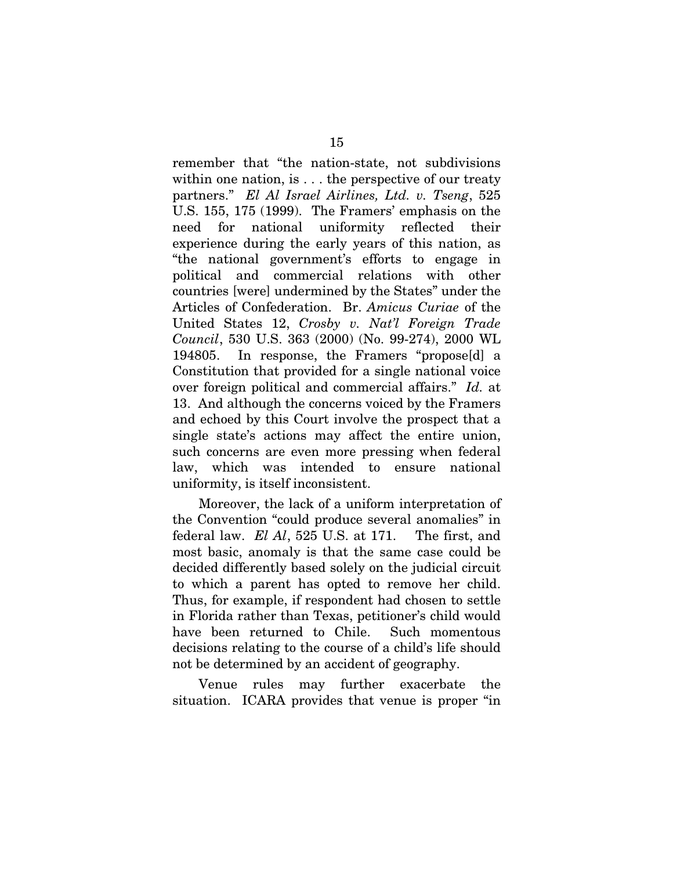remember that "the nation-state, not subdivisions within one nation, is . . . the perspective of our treaty partners." *El Al Israel Airlines, Ltd. v. Tseng*, 525 U.S. 155, 175 (1999). The Framers' emphasis on the need for national uniformity reflected their experience during the early years of this nation, as "the national government's efforts to engage in political and commercial relations with other countries [were] undermined by the States" under the Articles of Confederation. Br. *Amicus Curiae* of the United States 12, *Crosby v. Nat'l Foreign Trade Council*, 530 U.S. 363 (2000) (No. 99-274), 2000 WL 194805. In response, the Framers "propose[d] a Constitution that provided for a single national voice over foreign political and commercial affairs." *Id.* at 13. And although the concerns voiced by the Framers and echoed by this Court involve the prospect that a single state's actions may affect the entire union, such concerns are even more pressing when federal law, which was intended to ensure national uniformity, is itself inconsistent.

Moreover, the lack of a uniform interpretation of the Convention "could produce several anomalies" in federal law. *El Al*, 525 U.S. at 171. The first, and most basic, anomaly is that the same case could be decided differently based solely on the judicial circuit to which a parent has opted to remove her child. Thus, for example, if respondent had chosen to settle in Florida rather than Texas, petitioner's child would have been returned to Chile. Such momentous decisions relating to the course of a child's life should not be determined by an accident of geography.

Venue rules may further exacerbate the situation. ICARA provides that venue is proper "in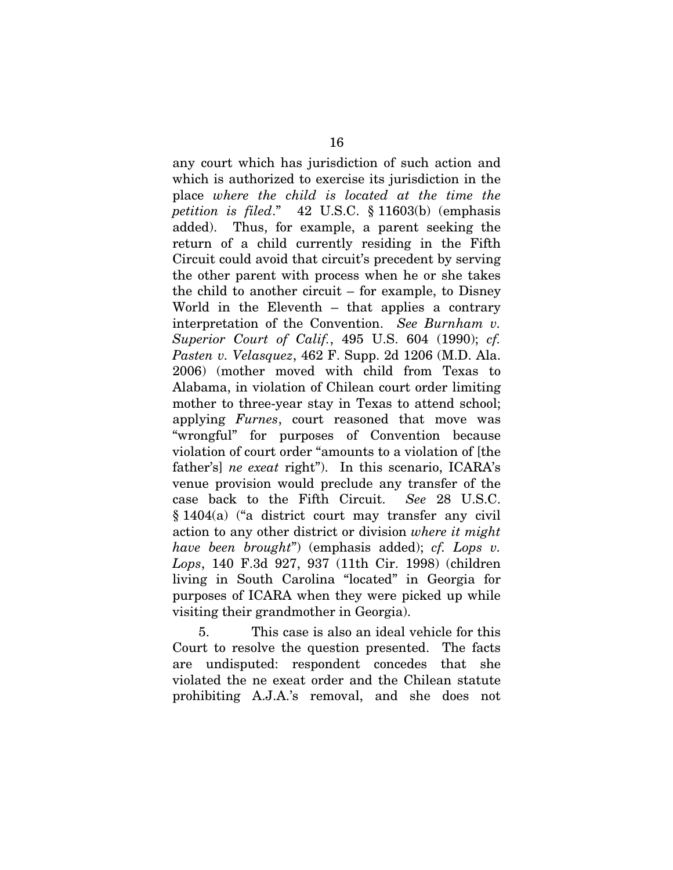any court which has jurisdiction of such action and which is authorized to exercise its jurisdiction in the place *where the child is located at the time the petition is filed*." 42 U.S.C. § 11603(b) (emphasis added). Thus, for example, a parent seeking the return of a child currently residing in the Fifth Circuit could avoid that circuit's precedent by serving the other parent with process when he or she takes the child to another circuit – for example, to Disney World in the Eleventh – that applies a contrary interpretation of the Convention. *See Burnham v. Superior Court of Calif.*, 495 U.S. 604 (1990); *cf. Pasten v. Velasquez*, 462 F. Supp. 2d 1206 (M.D. Ala. 2006) (mother moved with child from Texas to Alabama, in violation of Chilean court order limiting mother to three-year stay in Texas to attend school; applying *Furnes*, court reasoned that move was "wrongful" for purposes of Convention because violation of court order "amounts to a violation of [the father's] *ne exeat* right"). In this scenario, ICARA's venue provision would preclude any transfer of the case back to the Fifth Circuit. *See* 28 U.S.C. § 1404(a) ("a district court may transfer any civil action to any other district or division *where it might have been brought*") (emphasis added); *cf. Lops v. Lops*, 140 F.3d 927, 937 (11th Cir. 1998) (children living in South Carolina "located" in Georgia for purposes of ICARA when they were picked up while visiting their grandmother in Georgia).

5. This case is also an ideal vehicle for this Court to resolve the question presented. The facts are undisputed: respondent concedes that she violated the ne exeat order and the Chilean statute prohibiting A.J.A.'s removal, and she does not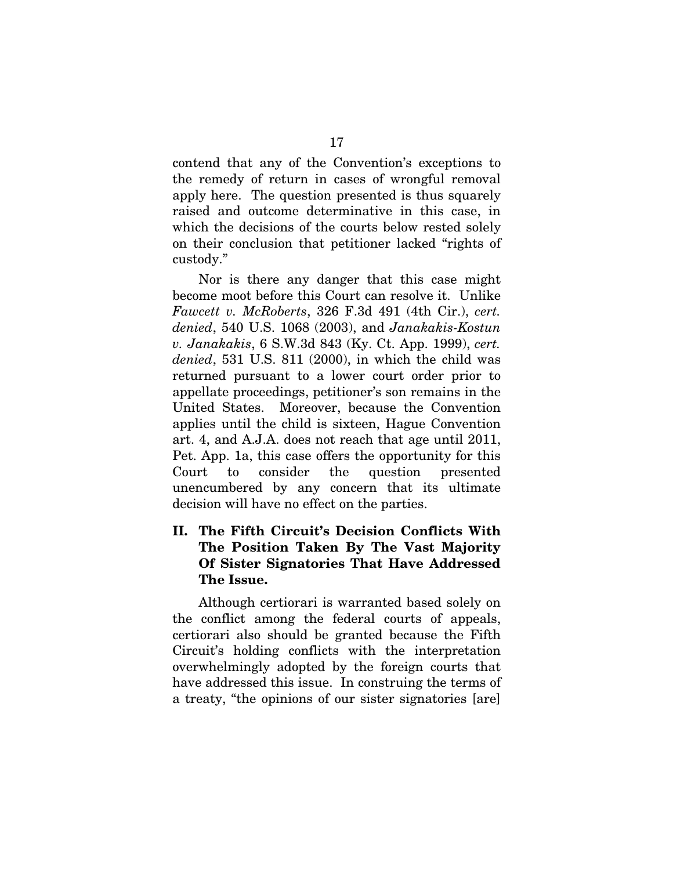<span id="page-25-0"></span>contend that any of the Convention's exceptions to the remedy of return in cases of wrongful removal apply here. The question presented is thus squarely raised and outcome determinative in this case, in which the decisions of the courts below rested solely on their conclusion that petitioner lacked "rights of custody."

Nor is there any danger that this case might become moot before this Court can resolve it. Unlike *Fawcett v. McRoberts*, 326 F.3d 491 (4th Cir.), *cert. denied*, 540 U.S. 1068 (2003), and *Janakakis-Kostun v. Janakakis*, 6 S.W.3d 843 (Ky. Ct. App. 1999), *cert. denied*, 531 U.S. 811 (2000), in which the child was returned pursuant to a lower court order prior to appellate proceedings, petitioner's son remains in the United States. Moreover, because the Convention applies until the child is sixteen, Hague Convention art. 4, and A.J.A. does not reach that age until 2011, Pet. App. 1a, this case offers the opportunity for this Court to consider the question presented unencumbered by any concern that its ultimate decision will have no effect on the parties.

### II. The Fifth Circuit's Decision Conflicts With The Position Taken By The Vast Majority Of Sister Signatories That Have Addressed The Issue.

Although certiorari is warranted based solely on the conflict among the federal courts of appeals, certiorari also should be granted because the Fifth Circuit's holding conflicts with the interpretation overwhelmingly adopted by the foreign courts that have addressed this issue. In construing the terms of a treaty, "the opinions of our sister signatories [are]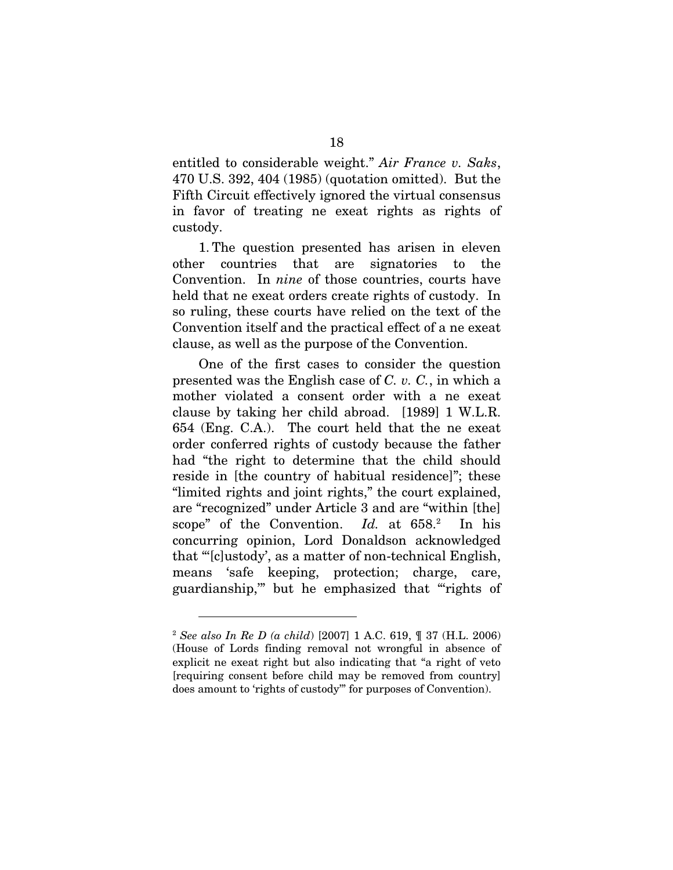entitled to considerable weight." *Air France v. Saks*, 470 U.S. 392, 404 (1985) (quotation omitted). But the Fifth Circuit effectively ignored the virtual consensus in favor of treating ne exeat rights as rights of custody.

1. The question presented has arisen in eleven other countries that are signatories to the Convention. In *nine* of those countries, courts have held that ne exeat orders create rights of custody. In so ruling, these courts have relied on the text of the Convention itself and the practical effect of a ne exeat clause, as well as the purpose of the Convention.

One of the first cases to consider the question presented was the English case of *C. v. C.*, in which a mother violated a consent order with a ne exeat clause by taking her child abroad. [1989] 1 W.L.R. 654 (Eng. C.A.). The court held that the ne exeat order conferred rights of custody because the father had "the right to determine that the child should reside in [the country of habitual residence]"; these "limited rights and joint rights," the court explained, are "recognized" under Article 3 and are "within [the] scope" of the Convention. *Id.* at 658.<sup>2</sup> In his concurring opinion, Lord Donaldson acknowledged that "'[c]ustody', as a matter of non-technical English, means 'safe keeping, protection; charge, care, guardianship,'" but he emphasized that "'rights of

<span id="page-26-0"></span><sup>2</sup> *See also In Re D (a child*) [2007] 1 A.C. 619, ¶ 37 (H.L. 2006) (House of Lords finding removal not wrongful in absence of explicit ne exeat right but also indicating that "a right of veto [requiring consent before child may be removed from country] does amount to 'rights of custody'" for purposes of Convention).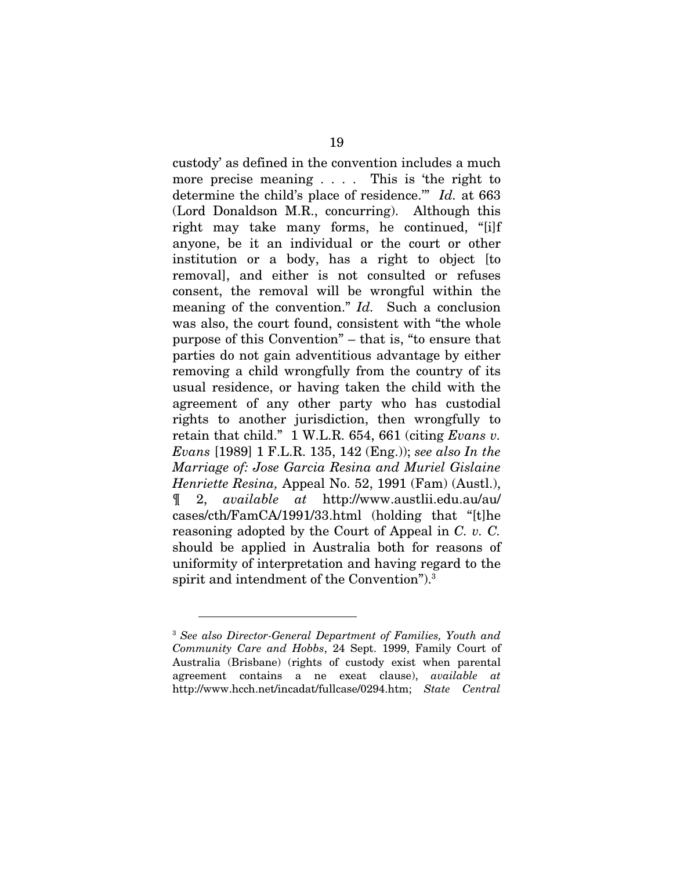custody' as defined in the convention includes a much more precise meaning . . . . This is 'the right to determine the child's place of residence.'" *Id.* at 663 (Lord Donaldson M.R., concurring). Although this right may take many forms, he continued, "[i]f anyone, be it an individual or the court or other institution or a body, has a right to object [to removal], and either is not consulted or refuses consent, the removal will be wrongful within the meaning of the convention." *Id.* Such a conclusion was also, the court found, consistent with "the whole purpose of this Convention" – that is, "to ensure that parties do not gain adventitious advantage by either removing a child wrongfully from the country of its usual residence, or having taken the child with the agreement of any other party who has custodial rights to another jurisdiction, then wrongfully to retain that child." 1 W.L.R. 654, 661 (citing *Evans v. Evans* [1989] 1 F.L.R. 135, 142 (Eng.)); *see also In the Marriage of: Jose Garcia Resina and Muriel Gislaine Henriette Resina,* Appeal No. 52, 1991 (Fam) (Austl.), ¶ 2, *available at* http://www.austlii.edu.au/au/ cases/cth/FamCA/1991/33.html (holding that "[t]he reasoning adopted by the Court of Appeal in *C. v. C.* should be applied in Australia both for reasons of uniformity of interpretation and having regard to the spirit and intendment of the Convention").[3](#page-27-0)

<span id="page-27-0"></span><sup>3</sup> *See also Director-General Department of Families, Youth and Community Care and Hobbs*, 24 Sept. 1999, Family Court of Australia (Brisbane) (rights of custody exist when parental agreement contains a ne exeat clause), *available at*  http://www.hcch.net/incadat/fullcase/0294.htm; *State Central*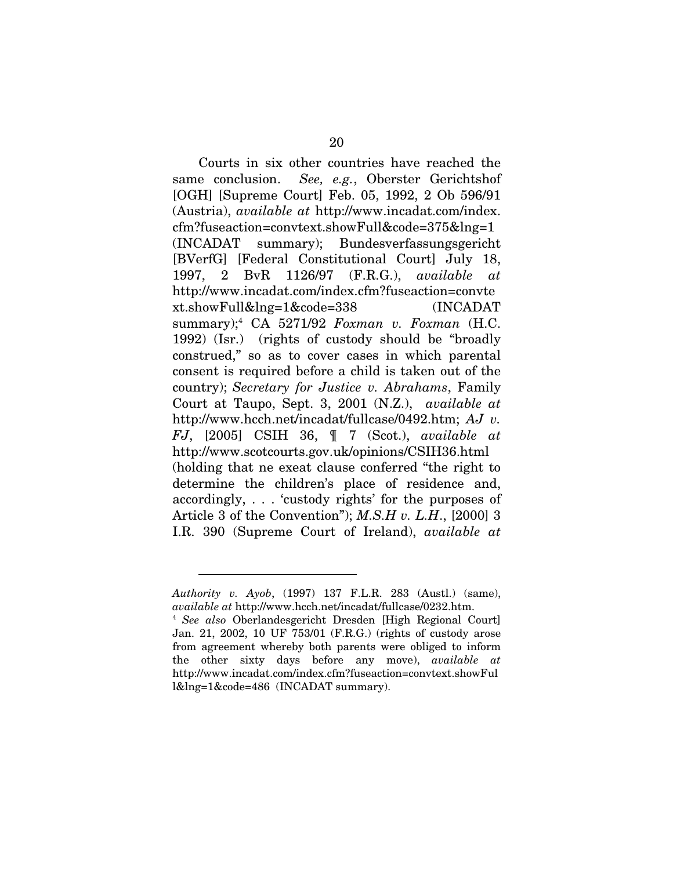Courts in six other countries have reached the same conclusion. *See, e.g.*, Oberster Gerichtshof [OGH] [Supreme Court] Feb. 05, 1992, 2 Ob 596/91 (Austria), *available at* <http://www.incadat.com/index>. cfm?fuseaction=convtext.showFull&code=375&lng=1 (INCADAT summary); Bundesverfassungsgericht [BVerfG] [Federal Constitutional Court] July 18, 1997, 2 BvR 1126/97 (F.R.G.), *available at* http://www.incadat.com/index.cfm?fuseaction=convte xt.showFull&lng=1&code=338 (INCADAT summary)[;4](#page-28-0) CA 5271/92 *Foxman v. Foxman* (H.C. 1992) (Isr.) (rights of custody should be "broadly construed," so as to cover cases in which parental consent is required before a child is taken out of the country); *Secretary for Justice v. Abrahams*, Family Court at Taupo, Sept. 3, 2001 (N.Z.), *available at* http://www.hcch.net/incadat/fullcase/0492.htm; *AJ v. FJ*, [2005] CSIH 36, ¶ 7 (Scot.), *available at* http://www.scotcourts.gov.uk/opinions/CSIH36.html (holding that ne exeat clause conferred "the right to determine the children's place of residence and, accordingly, . . . 'custody rights' for the purposes of Article 3 of the Convention"); *M.S.H v. L.H*., [2000] 3 I.R. 390 (Supreme Court of Ireland), *available at*

*Authority v. Ayob*, (1997) 137 F.L.R. 283 (Austl.) (same), *available at* http://www.hcch.net/incadat/fullcase/0232.htm. 4 *See also* Oberlandesgericht Dresden [High Regional Court]

<span id="page-28-0"></span>Jan. 21, 2002, 10 UF 753/01 (F.R.G.) (rights of custody arose from agreement whereby both parents were obliged to inform the other sixty days before any move), *available at* http://www.incadat.com/index.cfm?fuseaction=convtext.showFul l&lng=1&code=486 (INCADAT summary).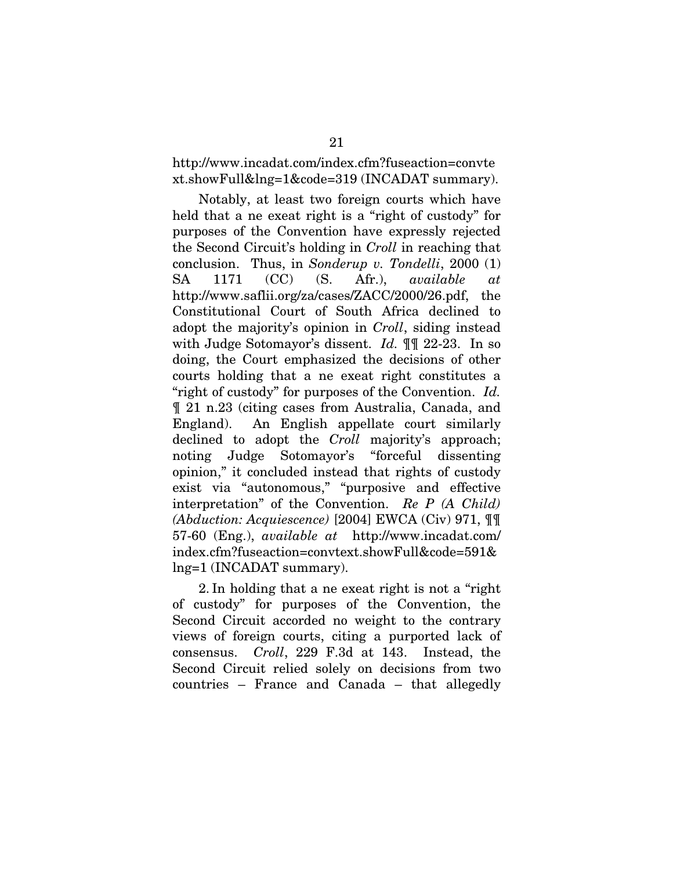http://www.incadat.com/index.cfm?fuseaction=convte xt.showFull&lng=1&code=319 (INCADAT summary).

Notably, at least two foreign courts which have held that a ne exeat right is a "right of custody" for purposes of the Convention have expressly rejected the Second Circuit's holding in *Croll* in reaching that conclusion. Thus, in *Sonderup v. Tondelli*, 2000 (1) SA 1171 (CC) (S. Afr.), *available at* http://www.saflii.org/za/cases/ZACC/2000/26.pdf, the Constitutional Court of South Africa declined to adopt the majority's opinion in *Croll*, siding instead with Judge Sotomayor's dissent. *Id.* ¶¶ 22-23. In so doing, the Court emphasized the decisions of other courts holding that a ne exeat right constitutes a "right of custody" for purposes of the Convention. *Id.*  ¶ 21 n.23 (citing cases from Australia, Canada, and England). An English appellate court similarly declined to adopt the *Croll* majority's approach; noting Judge Sotomayor's "forceful dissenting opinion," it concluded instead that rights of custody exist via "autonomous," "purposive and effective interpretation" of the Convention. *Re P (A Child) (Abduction: Acquiescence)* [2004] EWCA (Civ) 971, ¶¶ 57-60 (Eng.), *available at* http://www.incadat.com/ index.cfm?fuseaction=convtext.showFull&code=591& lng=1 (INCADAT summary).

2. In holding that a ne exeat right is not a "right of custody" for purposes of the Convention, the Second Circuit accorded no weight to the contrary views of foreign courts, citing a purported lack of consensus. *Croll*, 229 F.3d at 143. Instead, the Second Circuit relied solely on decisions from two countries – France and Canada – that allegedly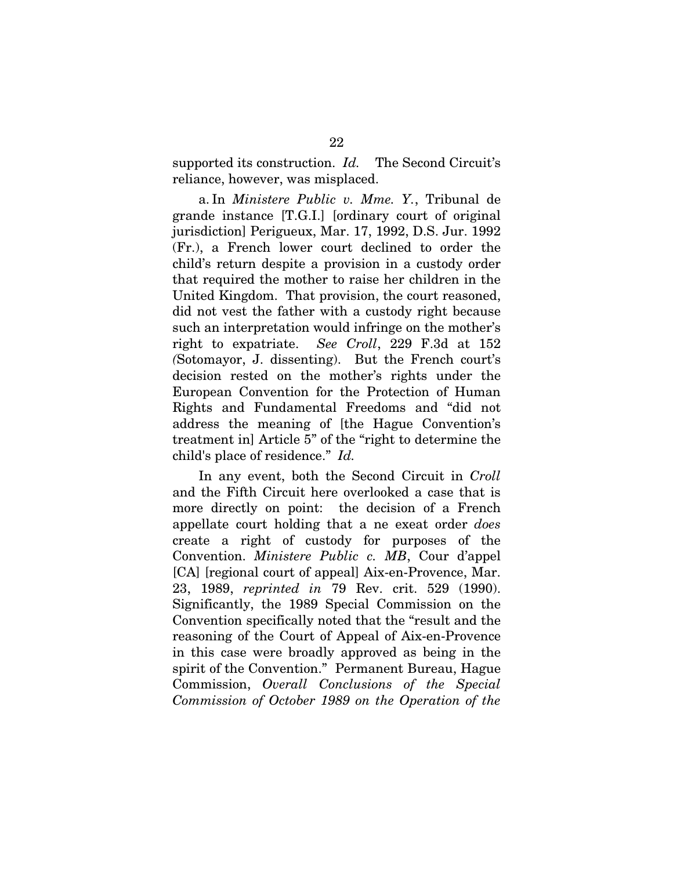supported its construction. *Id.* The Second Circuit's reliance, however, was misplaced.

a. In *Ministere Public v. Mme. Y.*, Tribunal de grande instance [T.G.I.] [ordinary court of original jurisdiction] Perigueux, Mar. 17, 1992, D.S. Jur. 1992 (Fr.), a French lower court declined to order the child's return despite a provision in a custody order that required the mother to raise her children in the United Kingdom. That provision, the court reasoned, did not vest the father with a custody right because such an interpretation would infringe on the mother's right to expatriate. *See Croll*, 229 F.3d at 152 *(*Sotomayor, J. dissenting). But the French court's decision rested on the mother's rights under the European Convention for the Protection of Human Rights and Fundamental Freedoms and "did not address the meaning of [the Hague Convention's treatment in] Article 5" of the "right to determine the child's place of residence." *Id.*

In any event, both the Second Circuit in *Croll* and the Fifth Circuit here overlooked a case that is more directly on point: the decision of a French appellate court holding that a ne exeat order *does* create a right of custody for purposes of the Convention. *Ministere Public c. MB*, Cour d'appel [CA] [regional court of appeal] Aix-en-Provence, Mar. 23, 1989, *reprinted in* 79 Rev. crit. 529 (1990). Significantly, the 1989 Special Commission on the Convention specifically noted that the "result and the reasoning of the Court of Appeal of Aix-en-Provence in this case were broadly approved as being in the spirit of the Convention." Permanent Bureau, Hague Commission, *Overall Conclusions of the Special Commission of October 1989 on the Operation of the*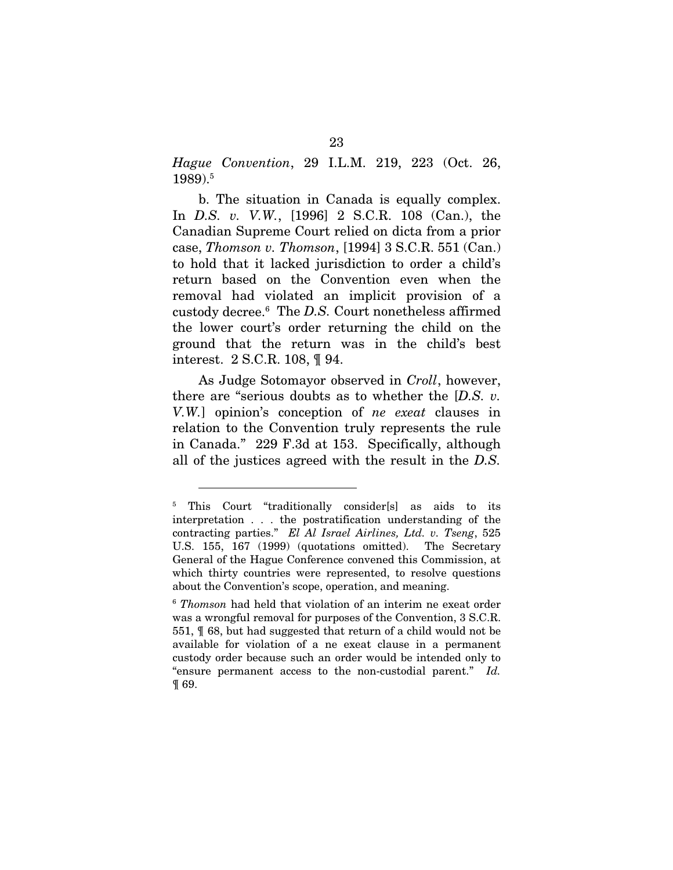*Hague Convention*, 29 I.L.M. 219, 223 (Oct. 26, 1989).[5](#page-31-0)

b. The situation in Canada is equally complex. In *D.S. v. V.W.*, [1996] 2 S.C.R. 108 (Can.), the Canadian Supreme Court relied on dicta from a prior case, *Thomson v. Thomson*, [1994] 3 S.C.R. 551 (Can.) to hold that it lacked jurisdiction to order a child's return based on the Convention even when the removal had violated an implicit provision of a custody decree.[6](#page-31-1) The *D.S.* Court nonetheless affirmed the lower court's order returning the child on the ground that the return was in the child's best interest. 2 S.C.R. 108, ¶ 94.

As Judge Sotomayor observed in *Croll*, however, there are "serious doubts as to whether the [*D.S. v. V.W.*] opinion's conception of *ne exeat* clauses in relation to the Convention truly represents the rule in Canada." 229 F.3d at 153. Specifically, although all of the justices agreed with the result in the *D.S.* 

<span id="page-31-0"></span><sup>&</sup>lt;sup>5</sup> This Court "traditionally consider[s] as aids to its interpretation . . . the postratification understanding of the contracting parties." *El Al Israel Airlines, Ltd. v. Tseng*, 525 U.S. 155, 167 (1999) (quotations omitted). The Secretary General of the Hague Conference convened this Commission, at which thirty countries were represented, to resolve questions about the Convention's scope, operation, and meaning.

<span id="page-31-1"></span><sup>6</sup> *Thomson* had held that violation of an interim ne exeat order was a wrongful removal for purposes of the Convention, 3 S.C.R. 551, ¶ 68, but had suggested that return of a child would not be available for violation of a ne exeat clause in a permanent custody order because such an order would be intended only to "ensure permanent access to the non-custodial parent." *Id.*  ¶ 69.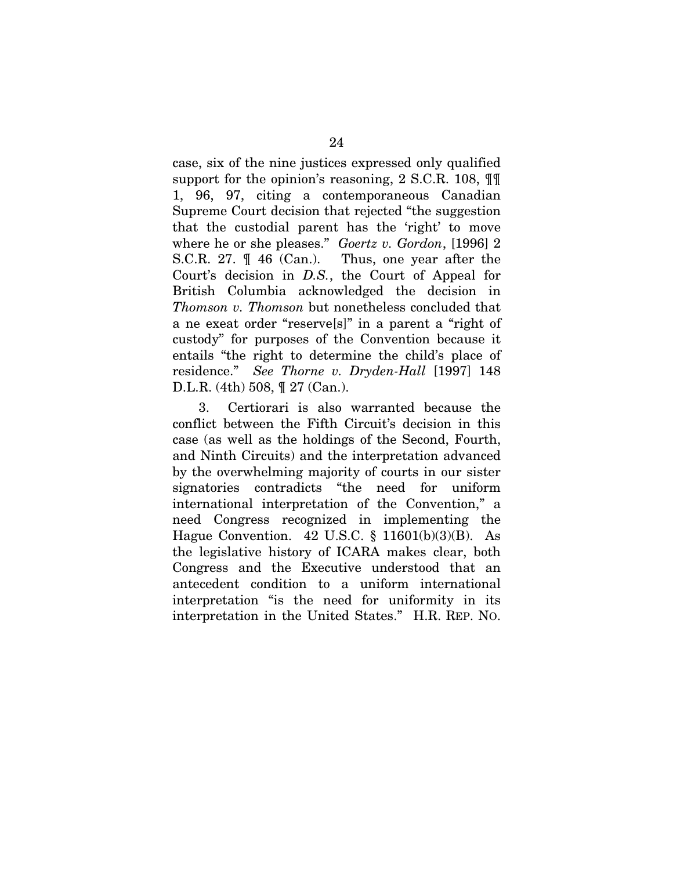case, six of the nine justices expressed only qualified support for the opinion's reasoning, 2 S.C.R. 108, ¶¶ 1, 96, 97, citing a contemporaneous Canadian Supreme Court decision that rejected "the suggestion that the custodial parent has the 'right' to move where he or she pleases." *Goertz v. Gordon*, [1996] 2 S.C.R. 27. ¶ 46 (Can.). Thus, one year after the Court's decision in *D.S.*, the Court of Appeal for British Columbia acknowledged the decision in *Thomson v. Thomson* but nonetheless concluded that a ne exeat order "reserve[s]" in a parent a "right of custody" for purposes of the Convention because it entails "the right to determine the child's place of residence." *See Thorne v. Dryden-Hall* [1997] 148 D.L.R. (4th) 508, ¶ 27 (Can.).

3. Certiorari is also warranted because the conflict between the Fifth Circuit's decision in this case (as well as the holdings of the Second, Fourth, and Ninth Circuits) and the interpretation advanced by the overwhelming majority of courts in our sister signatories contradicts "the need for uniform international interpretation of the Convention," a need Congress recognized in implementing the Hague Convention. 42 U.S.C.  $\S$  11601(b)(3)(B). As the legislative history of ICARA makes clear, both Congress and the Executive understood that an antecedent condition to a uniform international interpretation "is the need for uniformity in its interpretation in the United States." H.R. REP. NO.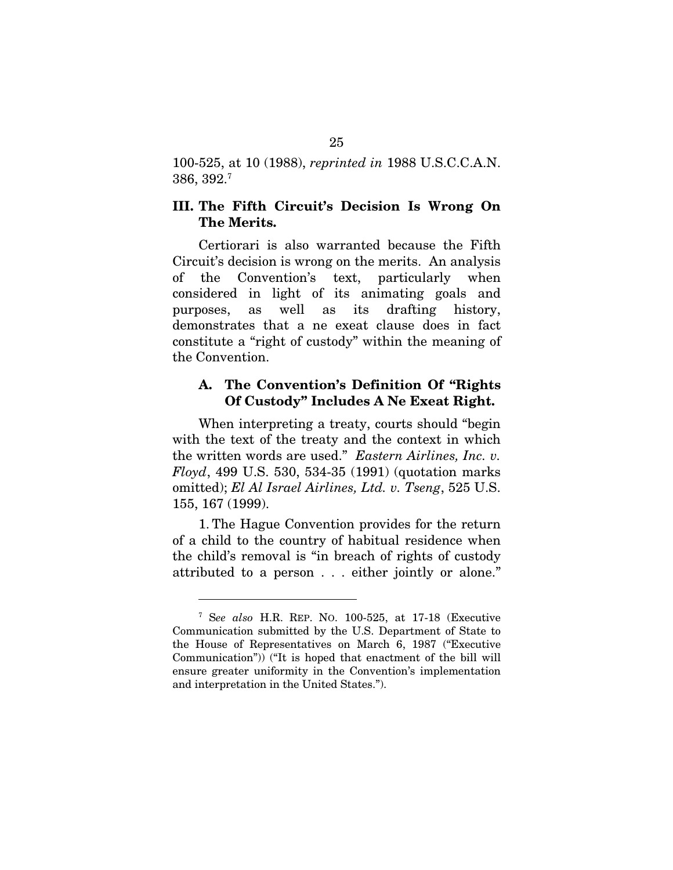<span id="page-33-0"></span>100-525, at 10 (1988), *reprinted in* 1988 U.S.C.C.A.N. 386, 392.[7](#page-33-1)

#### III. The Fifth Circuit's Decision Is Wrong On The Merits.

Certiorari is also warranted because the Fifth Circuit's decision is wrong on the merits. An analysis of the Convention's text, particularly when considered in light of its animating goals and purposes, as well as its drafting history, demonstrates that a ne exeat clause does in fact constitute a "right of custody" within the meaning of the Convention.

#### A. The Convention's Definition Of "Rights Of Custody" Includes A Ne Exeat Right.

When interpreting a treaty, courts should "begin with the text of the treaty and the context in which the written words are used." *Eastern Airlines, Inc. v. Floyd*, 499 U.S. 530, 534-35 (1991) (quotation marks omitted); *El Al Israel Airlines, Ltd. v. Tseng*, 525 U.S. 155, 167 (1999).

1. The Hague Convention provides for the return of a child to the country of habitual residence when the child's removal is "in breach of rights of custody attributed to a person . . . either jointly or alone."

<span id="page-33-1"></span><sup>7</sup> S*ee also* H.R. REP. NO. 100-525, at 17-18 (Executive Communication submitted by the U.S. Department of State to the House of Representatives on March 6, 1987 ("Executive Communication")) ("It is hoped that enactment of the bill will ensure greater uniformity in the Convention's implementation and interpretation in the United States.").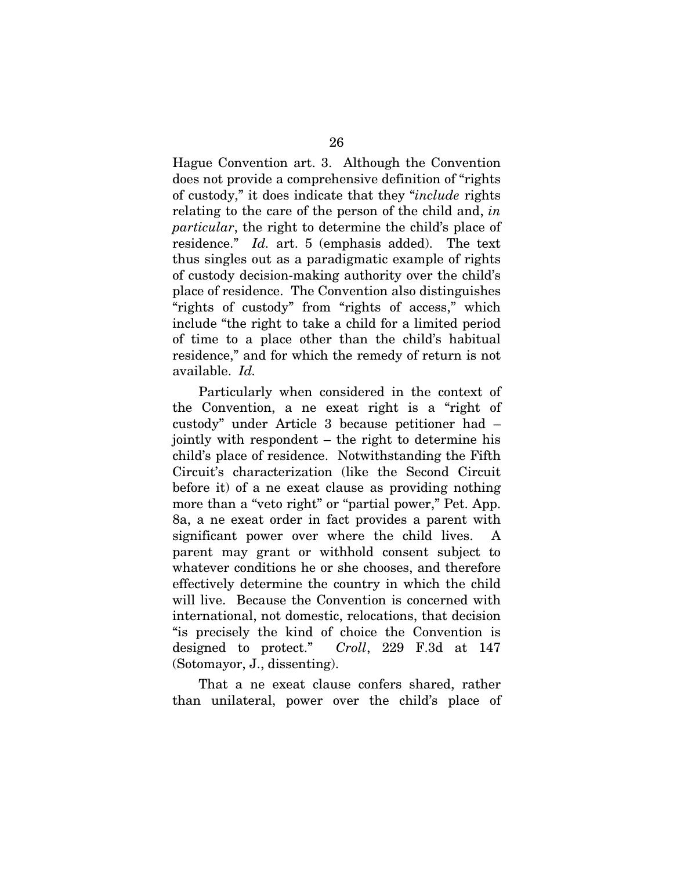Hague Convention art. 3. Although the Convention does not provide a comprehensive definition of "rights of custody," it does indicate that they "*include* rights relating to the care of the person of the child and, *in particular*, the right to determine the child's place of residence." *Id.* art. 5 (emphasis added). The text thus singles out as a paradigmatic example of rights of custody decision-making authority over the child's place of residence. The Convention also distinguishes "rights of custody" from "rights of access," which include "the right to take a child for a limited period of time to a place other than the child's habitual residence," and for which the remedy of return is not available. *Id.*

Particularly when considered in the context of the Convention, a ne exeat right is a "right of custody" under Article 3 because petitioner had – jointly with respondent – the right to determine his child's place of residence. Notwithstanding the Fifth Circuit's characterization (like the Second Circuit before it) of a ne exeat clause as providing nothing more than a "veto right" or "partial power," Pet. App. 8a, a ne exeat order in fact provides a parent with significant power over where the child lives. parent may grant or withhold consent subject to whatever conditions he or she chooses, and therefore effectively determine the country in which the child will live. Because the Convention is concerned with international, not domestic, relocations, that decision "is precisely the kind of choice the Convention is designed to protect." *Croll*, 229 F.3d at 147 (Sotomayor, J., dissenting).

That a ne exeat clause confers shared, rather than unilateral, power over the child's place of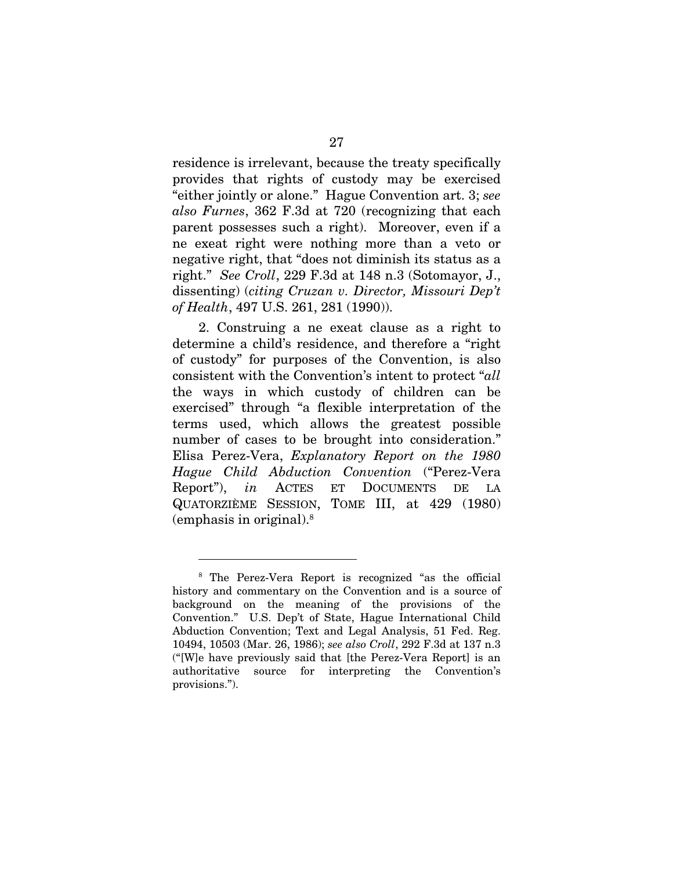residence is irrelevant, because the treaty specifically provides that rights of custody may be exercised "either jointly or alone." Hague Convention art. 3; *see also Furnes*, 362 F.3d at 720 (recognizing that each parent possesses such a right). Moreover, even if a ne exeat right were nothing more than a veto or negative right, that "does not diminish its status as a right." *See Croll*, 229 F.3d at 148 n.3 (Sotomayor, J., dissenting) (*citing Cruzan v. Director, Missouri Dep't of Health*, 497 U.S. 261, 281 (1990)).

2. Construing a ne exeat clause as a right to determine a child's residence, and therefore a "right of custody" for purposes of the Convention, is also consistent with the Convention's intent to protect "*all* the ways in which custody of children can be exercised" through "a flexible interpretation of the terms used, which allows the greatest possible number of cases to be brought into consideration." Elisa Perez-Vera, *Explanatory Report on the 1980 Hague Child Abduction Convention* ("Perez-Vera Report"), *in* ACTES ET DOCUMENTS DE LA QUATORZIÈME SESSION, TOME III, at 429 (1980) (emphasis in original)[.8](#page-35-0)

<span id="page-35-0"></span> $\overline{a}$ 

<sup>8</sup> The Perez-Vera Report is recognized "as the official history and commentary on the Convention and is a source of background on the meaning of the provisions of the Convention." U.S. Dep't of State, Hague International Child Abduction Convention; Text and Legal Analysis, 51 Fed. Reg. 10494, 10503 (Mar. 26, 1986); *see also Croll*, 292 F.3d at 137 n.3 ("[W]e have previously said that [the Perez-Vera Report] is an authoritative source for interpreting the Convention's provisions.").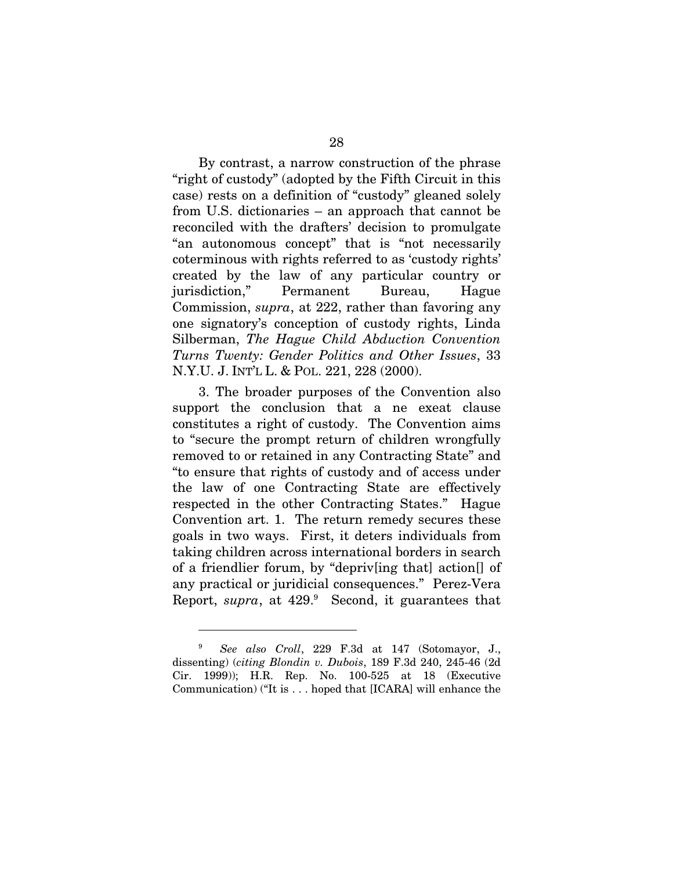By contrast, a narrow construction of the phrase "right of custody" (adopted by the Fifth Circuit in this case) rests on a definition of "custody" gleaned solely from U.S. dictionaries – an approach that cannot be reconciled with the drafters' decision to promulgate "an autonomous concept" that is "not necessarily coterminous with rights referred to as 'custody rights' created by the law of any particular country or jurisdiction," Permanent Bureau, Hague Commission, *supra*, at 222, rather than favoring any one signatory's conception of custody rights, Linda Silberman, *The Hague Child Abduction Convention Turns Twenty: Gender Politics and Other Issues*, 33 N.Y.U. J. INT'L L. & POL. 221, 228 (2000).

3. The broader purposes of the Convention also support the conclusion that a ne exeat clause constitutes a right of custody. The Convention aims to "secure the prompt return of children wrongfully removed to or retained in any Contracting State" and "to ensure that rights of custody and of access under the law of one Contracting State are effectively respected in the other Contracting States." Hague Convention art. 1. The return remedy secures these goals in two ways. First, it deters individuals from taking children across international borders in search of a friendlier forum, by "depriv[ing that] action[] of any practical or juridicial consequences." Perez-Vera Report, *supra*, at 42[9](#page-36-0).<sup>9</sup> Second, it guarantees that

<span id="page-36-0"></span><sup>9</sup> *See also Croll*, 229 F.3d at 147 (Sotomayor, J., dissenting) (*citing Blondin v. Dubois*, 189 F.3d 240, 245-46 (2d Cir. 1999)); H.R. Rep. No. 100-525 at 18 (Executive Communication) ("It is . . . hoped that [ICARA] will enhance the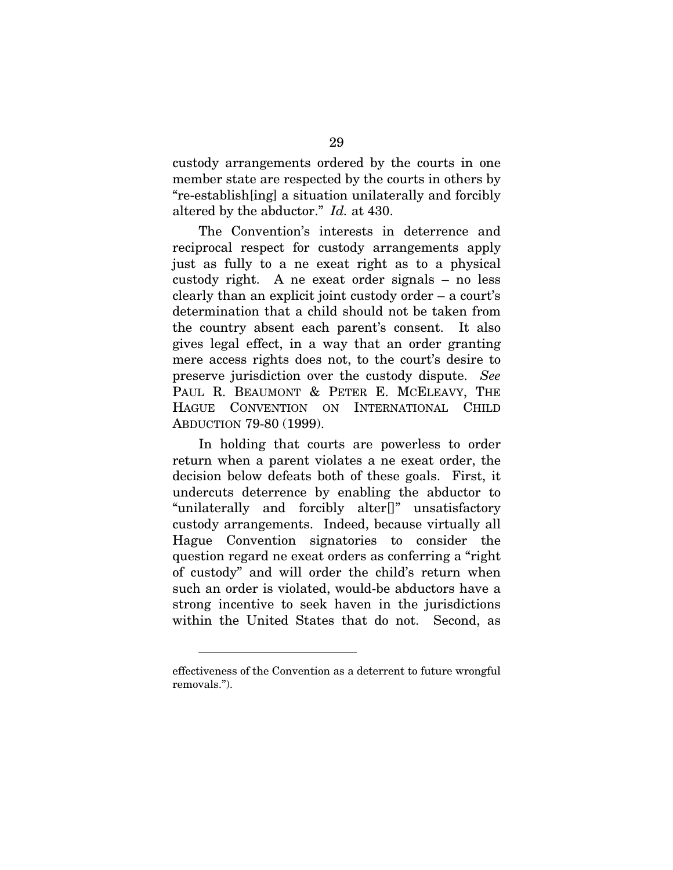custody arrangements ordered by the courts in one member state are respected by the courts in others by "re-establish[ing] a situation unilaterally and forcibly altered by the abductor." *Id.* at 430.

The Convention's interests in deterrence and reciprocal respect for custody arrangements apply just as fully to a ne exeat right as to a physical custody right. A ne exeat order signals – no less clearly than an explicit joint custody order – a court's determination that a child should not be taken from the country absent each parent's consent. It also gives legal effect, in a way that an order granting mere access rights does not, to the court's desire to preserve jurisdiction over the custody dispute. *See* PAUL R. BEAUMONT & PETER E. MCELEAVY, THE HAGUE CONVENTION ON INTERNATIONAL CHILD ABDUCTION 79-80 (1999).

In holding that courts are powerless to order return when a parent violates a ne exeat order, the decision below defeats both of these goals. First, it undercuts deterrence by enabling the abductor to "unilaterally and forcibly alter[]" unsatisfactory custody arrangements. Indeed, because virtually all Hague Convention signatories to consider the question regard ne exeat orders as conferring a "right of custody" and will order the child's return when such an order is violated, would-be abductors have a strong incentive to seek haven in the jurisdictions within the United States that do not. Second, as

effectiveness of the Convention as a deterrent to future wrongful removals.").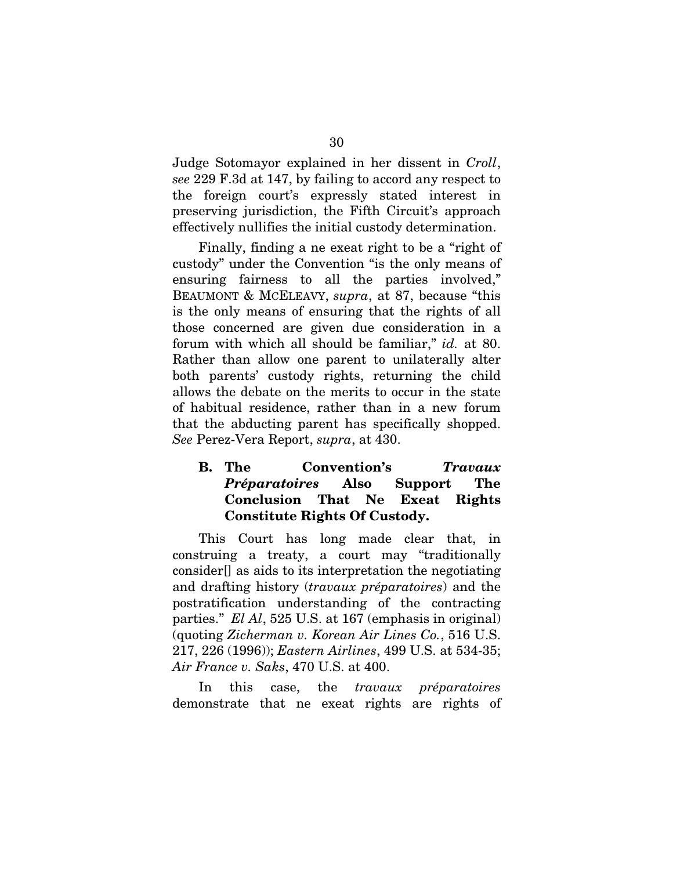<span id="page-38-0"></span>Judge Sotomayor explained in her dissent in *Croll*, *see* 229 F.3d at 147, by failing to accord any respect to the foreign court's expressly stated interest in preserving jurisdiction, the Fifth Circuit's approach effectively nullifies the initial custody determination.

Finally, finding a ne exeat right to be a "right of custody" under the Convention "is the only means of ensuring fairness to all the parties involved," BEAUMONT & MCELEAVY, *supra*, at 87, because "this is the only means of ensuring that the rights of all those concerned are given due consideration in a forum with which all should be familiar," *id.* at 80. Rather than allow one parent to unilaterally alter both parents' custody rights, returning the child allows the debate on the merits to occur in the state of habitual residence, rather than in a new forum that the abducting parent has specifically shopped. *See* Perez-Vera Report, *supra*, at 430.

### B. The Convention's *Travaux Préparatoires* Also Support The Conclusion That Ne Exeat Rights Constitute Rights Of Custody.

This Court has long made clear that, in construing a treaty, a court may "traditionally consider[] as aids to its interpretation the negotiating and drafting history (*travaux préparatoires*) and the postratification understanding of the contracting parties." *El Al*, 525 U.S. at 167 (emphasis in original) (quoting *Zicherman v. Korean Air Lines Co.*, 516 U.S. 217, 226 (1996)); *Eastern Airlines*, 499 U.S. at 534-35; *Air France v. Saks*, 470 U.S. at 400.

In this case, the *travaux préparatoires* demonstrate that ne exeat rights are rights of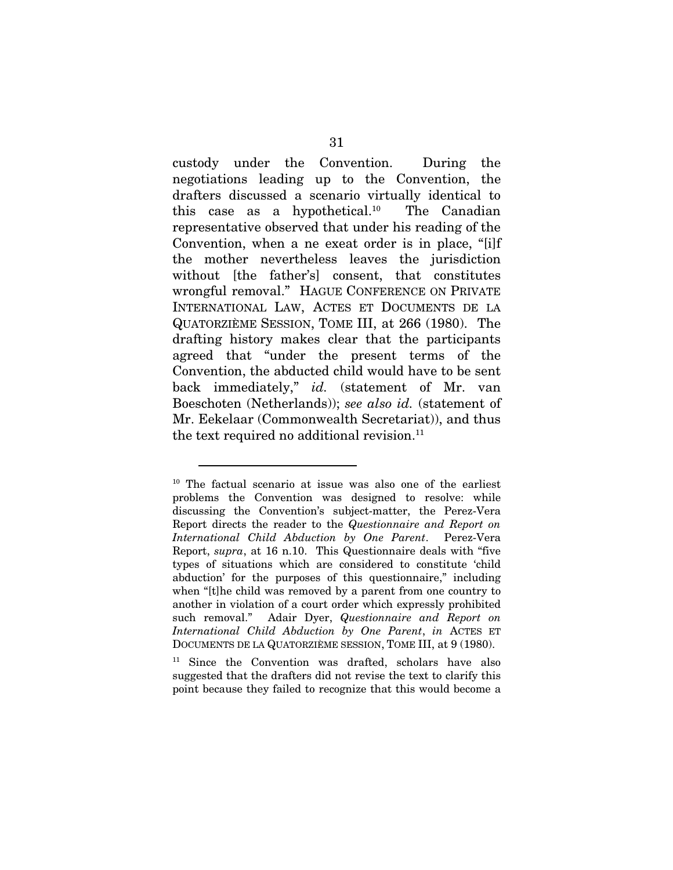custody under the Convention. During the negotiations leading up to the Convention, the drafters discussed a scenario virtually identical to this case as a hypothetical.<sup>10</sup> The Canadian representative observed that under his reading of the Convention, when a ne exeat order is in place, "[i]f the mother nevertheless leaves the jurisdiction without [the father's] consent, that constitutes wrongful removal." HAGUE CONFERENCE ON PRIVATE INTERNATIONAL LAW, ACTES ET DOCUMENTS DE LA QUATORZIÈME SESSION, TOME III, at 266 (1980). The drafting history makes clear that the participants agreed that "under the present terms of the Convention, the abducted child would have to be sent back immediately," *id.* (statement of Mr. van Boeschoten (Netherlands)); *see also id.* (statement of Mr. Eekelaar (Commonwealth Secretariat)), and thus the text required no additional revision. $11$ 

<span id="page-39-1"></span>11 Since the Convention was drafted, scholars have also suggested that the drafters did not revise the text to clarify this point because they failed to recognize that this would become a

<span id="page-39-0"></span><sup>&</sup>lt;sup>10</sup> The factual scenario at issue was also one of the earliest problems the Convention was designed to resolve: while discussing the Convention's subject-matter, the Perez-Vera Report directs the reader to the *Questionnaire and Report on International Child Abduction by One Parent*. Perez-Vera Report, *supra*, at 16 n.10. This Questionnaire deals with "five types of situations which are considered to constitute 'child abduction' for the purposes of this questionnaire," including when "[t]he child was removed by a parent from one country to another in violation of a court order which expressly prohibited such removal." Adair Dyer, *Questionnaire and Report on International Child Abduction by One Parent*, *in* ACTES ET DOCUMENTS DE LA QUATORZIÈME SESSION, TOME III, at 9 (1980).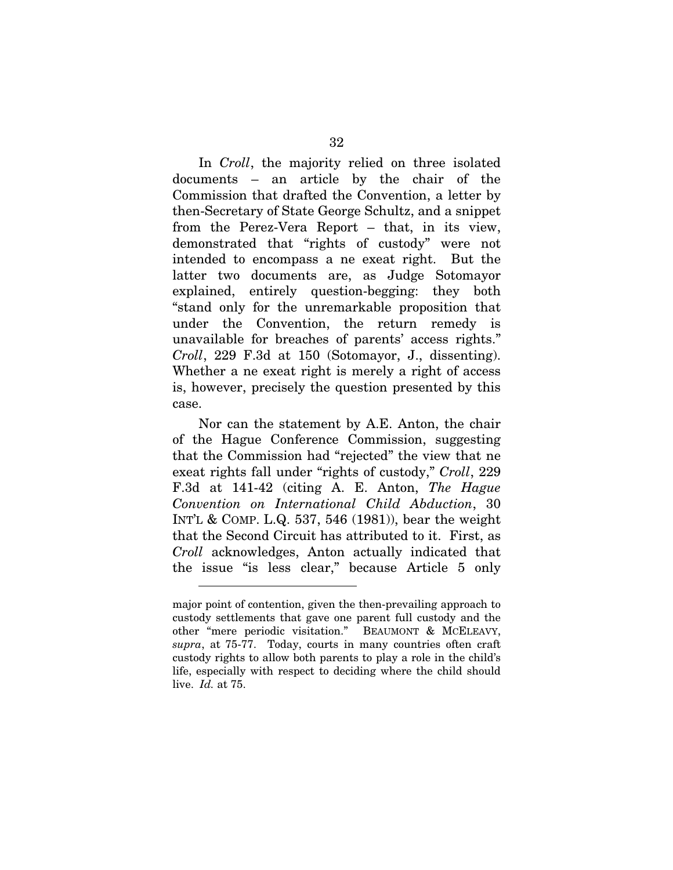In *Croll*, the majority relied on three isolated documents – an article by the chair of the Commission that drafted the Convention, a letter by then-Secretary of State George Schultz, and a snippet from the Perez-Vera Report – that, in its view, demonstrated that "rights of custody" were not intended to encompass a ne exeat right. But the latter two documents are, as Judge Sotomayor explained, entirely question-begging: they both "stand only for the unremarkable proposition that under the Convention, the return remedy is unavailable for breaches of parents' access rights." *Croll*, 229 F.3d at 150 (Sotomayor, J., dissenting). Whether a ne exeat right is merely a right of access is, however, precisely the question presented by this case.

Nor can the statement by A.E. Anton, the chair of the Hague Conference Commission, suggesting that the Commission had "rejected" the view that ne exeat rights fall under "rights of custody," *Croll*, 229 F.3d at 141-42 (citing A. E. Anton, *The Hague Convention on International Child Abduction*, 30 INT'L & COMP. L.Q. 537, 546 (1981)), bear the weight that the Second Circuit has attributed to it. First, as *Croll* acknowledges, Anton actually indicated that the issue "is less clear," because Article 5 only

major point of contention, given the then-prevailing approach to custody settlements that gave one parent full custody and the other "mere periodic visitation." BEAUMONT & MCELEAVY, *supra*, at 75-77. Today, courts in many countries often craft custody rights to allow both parents to play a role in the child's life, especially with respect to deciding where the child should live. *Id.* at 75.